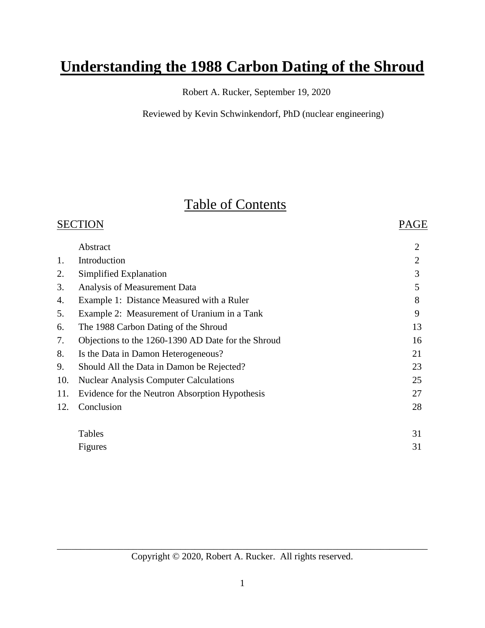# **Understanding the 1988 Carbon Dating of the Shroud**

Robert A. Rucker, September 19, 2020

Reviewed by Kevin Schwinkendorf, PhD (nuclear engineering)

# Table of Contents

|     | <b>SECTION</b>                                     | PAGE           |
|-----|----------------------------------------------------|----------------|
|     | Abstract                                           | $\overline{2}$ |
| 1.  | Introduction                                       | $\overline{2}$ |
| 2.  | Simplified Explanation                             | 3              |
| 3.  | Analysis of Measurement Data                       | 5              |
| 4.  | Example 1: Distance Measured with a Ruler          | 8              |
| 5.  | Example 2: Measurement of Uranium in a Tank        | 9              |
| 6.  | The 1988 Carbon Dating of the Shroud               | 13             |
| 7.  | Objections to the 1260-1390 AD Date for the Shroud | 16             |
| 8.  | Is the Data in Damon Heterogeneous?                | 21             |
| 9.  | Should All the Data in Damon be Rejected?          | 23             |
| 10. | <b>Nuclear Analysis Computer Calculations</b>      | 25             |
| 11. | Evidence for the Neutron Absorption Hypothesis     | 27             |
| 12. | Conclusion                                         | 28             |
|     | Tables                                             | 31             |
|     | Figures                                            | 31             |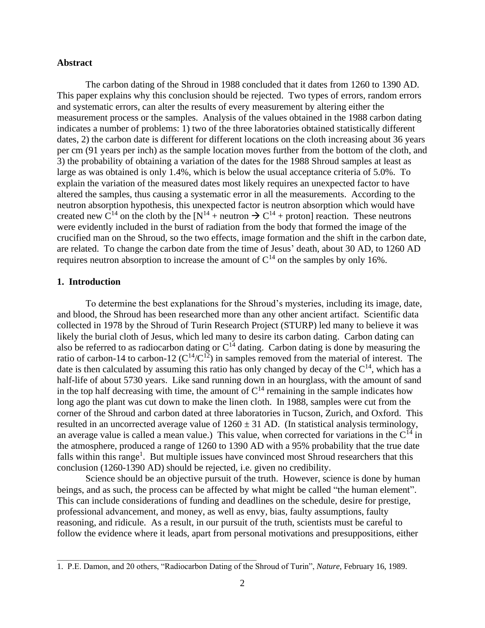## **Abstract**

The carbon dating of the Shroud in 1988 concluded that it dates from 1260 to 1390 AD. This paper explains why this conclusion should be rejected. Two types of errors, random errors and systematic errors, can alter the results of every measurement by altering either the measurement process or the samples. Analysis of the values obtained in the 1988 carbon dating indicates a number of problems: 1) two of the three laboratories obtained statistically different dates, 2) the carbon date is different for different locations on the cloth increasing about 36 years per cm (91 years per inch) as the sample location moves further from the bottom of the cloth, and 3) the probability of obtaining a variation of the dates for the 1988 Shroud samples at least as large as was obtained is only 1.4%, which is below the usual acceptance criteria of 5.0%. To explain the variation of the measured dates most likely requires an unexpected factor to have altered the samples, thus causing a systematic error in all the measurements. According to the neutron absorption hypothesis, this unexpected factor is neutron absorption which would have created new C<sup>14</sup> on the cloth by the  $[N^{14} +$  neutron  $\rightarrow$  C<sup>14</sup> + proton] reaction. These neutrons were evidently included in the burst of radiation from the body that formed the image of the crucified man on the Shroud, so the two effects, image formation and the shift in the carbon date, are related. To change the carbon date from the time of Jesus' death, about 30 AD, to 1260 AD requires neutron absorption to increase the amount of  $C^{14}$  on the samples by only 16%.

## **1. Introduction**

To determine the best explanations for the Shroud's mysteries, including its image, date, and blood, the Shroud has been researched more than any other ancient artifact. Scientific data collected in 1978 by the Shroud of Turin Research Project (STURP) led many to believe it was likely the burial cloth of Jesus, which led many to desire its carbon dating. Carbon dating can also be referred to as radiocarbon dating or  $C^{14}$  dating. Carbon dating is done by measuring the ratio of carbon-14 to carbon-12 ( $C^{14}/C^{12}$ ) in samples removed from the material of interest. The date is then calculated by assuming this ratio has only changed by decay of the  $C^{14}$ , which has a half-life of about 5730 years. Like sand running down in an hourglass, with the amount of sand in the top half decreasing with time, the amount of  $C<sup>14</sup>$  remaining in the sample indicates how long ago the plant was cut down to make the linen cloth. In 1988, samples were cut from the corner of the Shroud and carbon dated at three laboratories in Tucson, Zurich, and Oxford. This resulted in an uncorrected average value of  $1260 \pm 31$  AD. (In statistical analysis terminology, an average value is called a mean value.) This value, when corrected for variations in the  $C^{14}$  in the atmosphere, produced a range of 1260 to 1390 AD with a 95% probability that the true date falls within this range<sup>1</sup>. But multiple issues have convinced most Shroud researchers that this conclusion (1260-1390 AD) should be rejected, i.e. given no credibility.

Science should be an objective pursuit of the truth. However, science is done by human beings, and as such, the process can be affected by what might be called "the human element". This can include considerations of funding and deadlines on the schedule, desire for prestige, professional advancement, and money, as well as envy, bias, faulty assumptions, faulty reasoning, and ridicule. As a result, in our pursuit of the truth, scientists must be careful to follow the evidence where it leads, apart from personal motivations and presuppositions, either

<sup>1.</sup> P.E. Damon, and 20 others, "Radiocarbon Dating of the Shroud of Turin", *Nature*, February 16, 1989.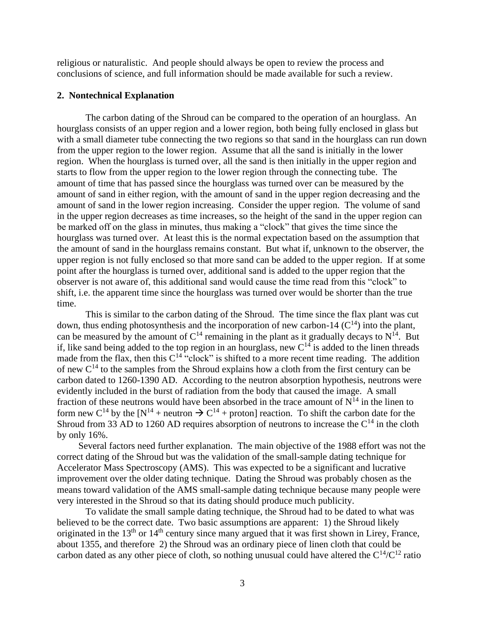religious or naturalistic. And people should always be open to review the process and conclusions of science, and full information should be made available for such a review.

## **2. Nontechnical Explanation**

The carbon dating of the Shroud can be compared to the operation of an hourglass. An hourglass consists of an upper region and a lower region, both being fully enclosed in glass but with a small diameter tube connecting the two regions so that sand in the hourglass can run down from the upper region to the lower region. Assume that all the sand is initially in the lower region. When the hourglass is turned over, all the sand is then initially in the upper region and starts to flow from the upper region to the lower region through the connecting tube. The amount of time that has passed since the hourglass was turned over can be measured by the amount of sand in either region, with the amount of sand in the upper region decreasing and the amount of sand in the lower region increasing. Consider the upper region. The volume of sand in the upper region decreases as time increases, so the height of the sand in the upper region can be marked off on the glass in minutes, thus making a "clock" that gives the time since the hourglass was turned over. At least this is the normal expectation based on the assumption that the amount of sand in the hourglass remains constant. But what if, unknown to the observer, the upper region is not fully enclosed so that more sand can be added to the upper region. If at some point after the hourglass is turned over, additional sand is added to the upper region that the observer is not aware of, this additional sand would cause the time read from this "clock" to shift, i.e. the apparent time since the hourglass was turned over would be shorter than the true time.

This is similar to the carbon dating of the Shroud. The time since the flax plant was cut down, thus ending photosynthesis and the incorporation of new carbon-14  $(C^{14})$  into the plant, can be measured by the amount of  $C^{14}$  remaining in the plant as it gradually decays to  $N^{14}$ . But if, like sand being added to the top region in an hourglass, new  $C^{14}$  is added to the linen threads made from the flax, then this  $C^{14}$  "clock" is shifted to a more recent time reading. The addition of new  $C^{14}$  to the samples from the Shroud explains how a cloth from the first century can be carbon dated to 1260-1390 AD. According to the neutron absorption hypothesis, neutrons were evidently included in the burst of radiation from the body that caused the image. A small fraction of these neutrons would have been absorbed in the trace amount of  $N^{14}$  in the linen to form new C<sup>14</sup> by the [N<sup>14</sup> + neutron  $\rightarrow$  C<sup>14</sup> + proton] reaction. To shift the carbon date for the Shroud from 33 AD to 1260 AD requires absorption of neutrons to increase the  $C^{14}$  in the cloth by only 16%.

Several factors need further explanation. The main objective of the 1988 effort was not the correct dating of the Shroud but was the validation of the small-sample dating technique for Accelerator Mass Spectroscopy (AMS). This was expected to be a significant and lucrative improvement over the older dating technique. Dating the Shroud was probably chosen as the means toward validation of the AMS small-sample dating technique because many people were very interested in the Shroud so that its dating should produce much publicity.

To validate the small sample dating technique, the Shroud had to be dated to what was believed to be the correct date. Two basic assumptions are apparent: 1) the Shroud likely originated in the  $13<sup>th</sup>$  or  $14<sup>th</sup>$  century since many argued that it was first shown in Lirey, France, about 1355, and therefore 2) the Shroud was an ordinary piece of linen cloth that could be carbon dated as any other piece of cloth, so nothing unusual could have altered the  $C^{14}/C^{12}$  ratio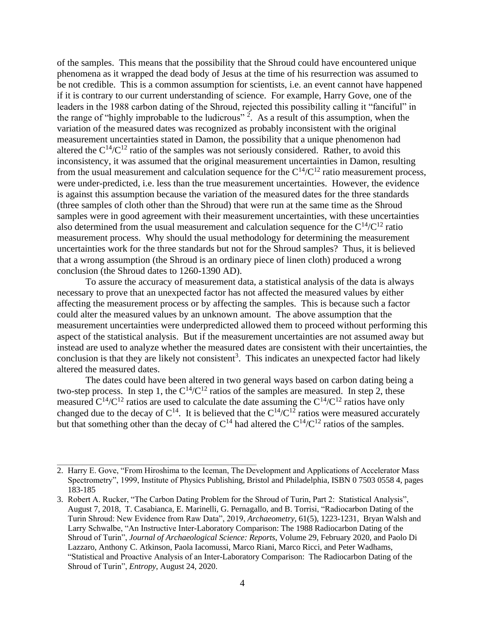of the samples. This means that the possibility that the Shroud could have encountered unique phenomena as it wrapped the dead body of Jesus at the time of his resurrection was assumed to be not credible. This is a common assumption for scientists, i.e. an event cannot have happened if it is contrary to our current understanding of science. For example, Harry Gove, one of the leaders in the 1988 carbon dating of the Shroud, rejected this possibility calling it "fanciful" in the range of "highly improbable to the ludicrous"  $2$ . As a result of this assumption, when the variation of the measured dates was recognized as probably inconsistent with the original measurement uncertainties stated in Damon, the possibility that a unique phenomenon had altered the  $C^{14}/C^{12}$  ratio of the samples was not seriously considered. Rather, to avoid this inconsistency, it was assumed that the original measurement uncertainties in Damon, resulting from the usual measurement and calculation sequence for the  $C^{14}/C^{12}$  ratio measurement process, were under-predicted, i.e. less than the true measurement uncertainties. However, the evidence is against this assumption because the variation of the measured dates for the three standards (three samples of cloth other than the Shroud) that were run at the same time as the Shroud samples were in good agreement with their measurement uncertainties, with these uncertainties also determined from the usual measurement and calculation sequence for the  $C^{14}/C^{12}$  ratio measurement process. Why should the usual methodology for determining the measurement uncertainties work for the three standards but not for the Shroud samples? Thus, it is believed that a wrong assumption (the Shroud is an ordinary piece of linen cloth) produced a wrong conclusion (the Shroud dates to 1260-1390 AD).

To assure the accuracy of measurement data, a statistical analysis of the data is always necessary to prove that an unexpected factor has not affected the measured values by either affecting the measurement process or by affecting the samples. This is because such a factor could alter the measured values by an unknown amount. The above assumption that the measurement uncertainties were underpredicted allowed them to proceed without performing this aspect of the statistical analysis. But if the measurement uncertainties are not assumed away but instead are used to analyze whether the measured dates are consistent with their uncertainties, the conclusion is that they are likely not consistent<sup>3</sup>. This indicates an unexpected factor had likely altered the measured dates.

The dates could have been altered in two general ways based on carbon dating being a two-step process. In step 1, the  $C^{14}/C^{12}$  ratios of the samples are measured. In step 2, these measured  $C^{14}/C^{12}$  ratios are used to calculate the date assuming the  $C^{14}/C^{12}$  ratios have only changed due to the decay of  $C^{14}$ . It is believed that the  $C^{14}/C^{12}$  ratios were measured accurately but that something other than the decay of  $C^{14}$  had altered the  $C^{14}/C^{12}$  ratios of the samples.

<sup>2.</sup> Harry E. Gove, "From Hiroshima to the Iceman, The Development and Applications of Accelerator Mass Spectrometry", 1999, Institute of Physics Publishing, Bristol and Philadelphia, ISBN 0 7503 0558 4, pages 183-185

<sup>3.</sup> Robert A. Rucker, "The Carbon Dating Problem for the Shroud of Turin, Part 2: Statistical Analysis", August 7, 2018, T. Casabianca, E. Marinelli, G. Pernagallo, and B. Torrisi, "Radiocarbon Dating of the Turin Shroud: New Evidence from Raw Data", 2019, *Archaeometry*, 61(5), 1223-1231, Bryan Walsh and Larry Schwalbe, "An Instructive Inter-Laboratory Comparison: The 1988 Radiocarbon Dating of the Shroud of Turin", *[Journal of Archaeological Science: Reports](https://www.sciencedirect.com/science/journal/2352409X)*[, Volume 29,](https://www.sciencedirect.com/science/journal/2352409X/29/supp/C) February 2020, and Paolo Di Lazzaro, Anthony C. Atkinson, Paola Iacomussi, Marco Riani, Marco Ricci, and Peter Wadhams, "Statistical and Proactive Analysis of an Inter-Laboratory Comparison: The Radiocarbon Dating of the Shroud of Turin", *Entropy*, August 24, 2020.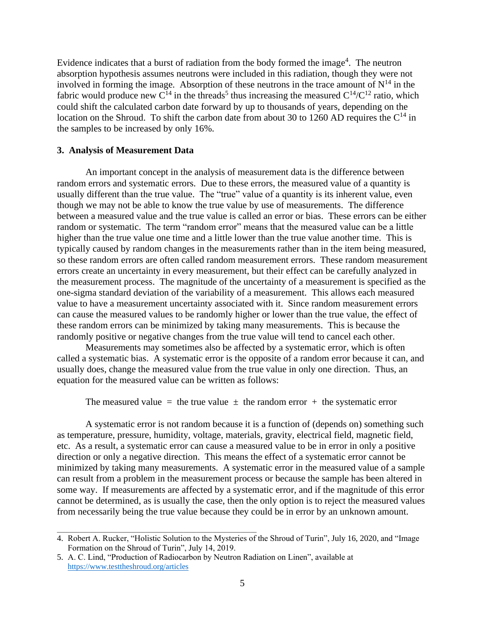Evidence indicates that a burst of radiation from the body formed the image<sup>4</sup>. The neutron absorption hypothesis assumes neutrons were included in this radiation, though they were not involved in forming the image. Absorption of these neutrons in the trace amount of  $N^{14}$  in the fabric would produce new  $C^{14}$  in the threads<sup>5</sup> thus increasing the measured  $C^{14}/C^{12}$  ratio, which could shift the calculated carbon date forward by up to thousands of years, depending on the location on the Shroud. To shift the carbon date from about 30 to 1260 AD requires the  $C^{14}$  in the samples to be increased by only 16%.

## **3. Analysis of Measurement Data**

An important concept in the analysis of measurement data is the difference between random errors and systematic errors. Due to these errors, the measured value of a quantity is usually different than the true value. The "true" value of a quantity is its inherent value, even though we may not be able to know the true value by use of measurements. The difference between a measured value and the true value is called an error or bias. These errors can be either random or systematic. The term "random error" means that the measured value can be a little higher than the true value one time and a little lower than the true value another time. This is typically caused by random changes in the measurements rather than in the item being measured, so these random errors are often called random measurement errors. These random measurement errors create an uncertainty in every measurement, but their effect can be carefully analyzed in the measurement process. The magnitude of the uncertainty of a measurement is specified as the one-sigma standard deviation of the variability of a measurement. This allows each measured value to have a measurement uncertainty associated with it. Since random measurement errors can cause the measured values to be randomly higher or lower than the true value, the effect of these random errors can be minimized by taking many measurements. This is because the randomly positive or negative changes from the true value will tend to cancel each other.

Measurements may sometimes also be affected by a systematic error, which is often called a systematic bias. A systematic error is the opposite of a random error because it can, and usually does, change the measured value from the true value in only one direction. Thus, an equation for the measured value can be written as follows:

The measured value = the true value  $\pm$  the random error + the systematic error

A systematic error is not random because it is a function of (depends on) something such as temperature, pressure, humidity, voltage, materials, gravity, electrical field, magnetic field, etc. As a result, a systematic error can cause a measured value to be in error in only a positive direction or only a negative direction. This means the effect of a systematic error cannot be minimized by taking many measurements. A systematic error in the measured value of a sample can result from a problem in the measurement process or because the sample has been altered in some way. If measurements are affected by a systematic error, and if the magnitude of this error cannot be determined, as is usually the case, then the only option is to reject the measured values from necessarily being the true value because they could be in error by an unknown amount.

<sup>4.</sup> Robert A. Rucker, "Holistic Solution to the Mysteries of the Shroud of Turin", July 16, 2020, and "Image Formation on the Shroud of Turin", July 14, 2019.

<sup>5.</sup> A. C. Lind, "Production of Radiocarbon by Neutron Radiation on Linen", available at <https://www.testtheshroud.org/articles>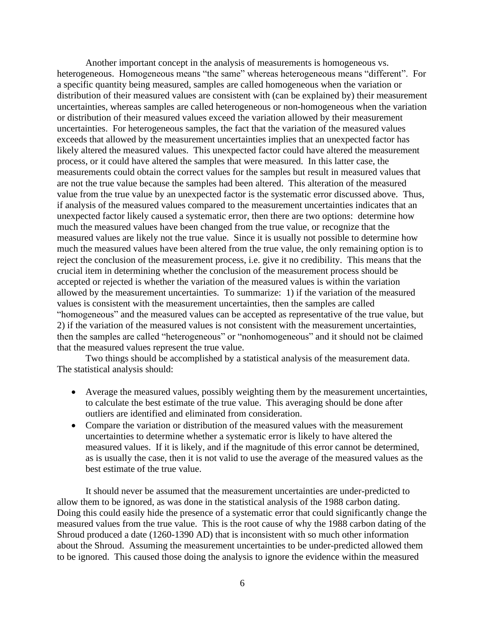Another important concept in the analysis of measurements is homogeneous vs. heterogeneous. Homogeneous means "the same" whereas heterogeneous means "different". For a specific quantity being measured, samples are called homogeneous when the variation or distribution of their measured values are consistent with (can be explained by) their measurement uncertainties, whereas samples are called heterogeneous or non-homogeneous when the variation or distribution of their measured values exceed the variation allowed by their measurement uncertainties. For heterogeneous samples, the fact that the variation of the measured values exceeds that allowed by the measurement uncertainties implies that an unexpected factor has likely altered the measured values. This unexpected factor could have altered the measurement process, or it could have altered the samples that were measured. In this latter case, the measurements could obtain the correct values for the samples but result in measured values that are not the true value because the samples had been altered. This alteration of the measured value from the true value by an unexpected factor is the systematic error discussed above. Thus, if analysis of the measured values compared to the measurement uncertainties indicates that an unexpected factor likely caused a systematic error, then there are two options: determine how much the measured values have been changed from the true value, or recognize that the measured values are likely not the true value. Since it is usually not possible to determine how much the measured values have been altered from the true value, the only remaining option is to reject the conclusion of the measurement process, i.e. give it no credibility. This means that the crucial item in determining whether the conclusion of the measurement process should be accepted or rejected is whether the variation of the measured values is within the variation allowed by the measurement uncertainties. To summarize: 1) if the variation of the measured values is consistent with the measurement uncertainties, then the samples are called "homogeneous" and the measured values can be accepted as representative of the true value, but 2) if the variation of the measured values is not consistent with the measurement uncertainties, then the samples are called "heterogeneous" or "nonhomogeneous" and it should not be claimed that the measured values represent the true value.

Two things should be accomplished by a statistical analysis of the measurement data. The statistical analysis should:

- Average the measured values, possibly weighting them by the measurement uncertainties, to calculate the best estimate of the true value. This averaging should be done after outliers are identified and eliminated from consideration.
- Compare the variation or distribution of the measured values with the measurement uncertainties to determine whether a systematic error is likely to have altered the measured values. If it is likely, and if the magnitude of this error cannot be determined, as is usually the case, then it is not valid to use the average of the measured values as the best estimate of the true value.

It should never be assumed that the measurement uncertainties are under-predicted to allow them to be ignored, as was done in the statistical analysis of the 1988 carbon dating. Doing this could easily hide the presence of a systematic error that could significantly change the measured values from the true value. This is the root cause of why the 1988 carbon dating of the Shroud produced a date (1260-1390 AD) that is inconsistent with so much other information about the Shroud. Assuming the measurement uncertainties to be under-predicted allowed them to be ignored. This caused those doing the analysis to ignore the evidence within the measured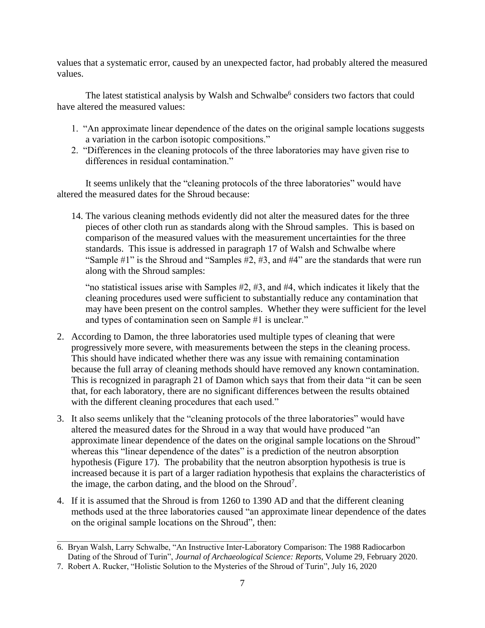values that a systematic error, caused by an unexpected factor, had probably altered the measured values.

The latest statistical analysis by Walsh and Schwalbe<sup>6</sup> considers two factors that could have altered the measured values:

- 1. "An approximate linear dependence of the dates on the original sample locations suggests a variation in the carbon isotopic compositions."
- 2. "Differences in the cleaning protocols of the three laboratories may have given rise to differences in residual contamination."

It seems unlikely that the "cleaning protocols of the three laboratories" would have altered the measured dates for the Shroud because:

14. The various cleaning methods evidently did not alter the measured dates for the three pieces of other cloth run as standards along with the Shroud samples. This is based on comparison of the measured values with the measurement uncertainties for the three standards. This issue is addressed in paragraph 17 of Walsh and Schwalbe where "Sample #1" is the Shroud and "Samples #2, #3, and #4" are the standards that were run along with the Shroud samples:

"no statistical issues arise with Samples #2, #3, and #4, which indicates it likely that the cleaning procedures used were sufficient to substantially reduce any contamination that may have been present on the control samples. Whether they were sufficient for the level and types of contamination seen on Sample #1 is unclear."

- 2. According to Damon, the three laboratories used multiple types of cleaning that were progressively more severe, with measurements between the steps in the cleaning process. This should have indicated whether there was any issue with remaining contamination because the full array of cleaning methods should have removed any known contamination. This is recognized in paragraph 21 of Damon which says that from their data "it can be seen that, for each laboratory, there are no significant differences between the results obtained with the different cleaning procedures that each used."
- 3. It also seems unlikely that the "cleaning protocols of the three laboratories" would have altered the measured dates for the Shroud in a way that would have produced "an approximate linear dependence of the dates on the original sample locations on the Shroud" whereas this "linear dependence of the dates" is a prediction of the neutron absorption hypothesis (Figure 17). The probability that the neutron absorption hypothesis is true is increased because it is part of a larger radiation hypothesis that explains the characteristics of the image, the carbon dating, and the blood on the Shroud<sup>7</sup>.
- 4. If it is assumed that the Shroud is from 1260 to 1390 AD and that the different cleaning methods used at the three laboratories caused "an approximate linear dependence of the dates on the original sample locations on the Shroud", then:

\_\_\_\_\_\_\_\_\_\_\_\_\_\_\_\_\_\_\_\_\_\_\_\_\_\_\_\_\_\_\_\_\_\_\_\_\_\_\_\_\_\_\_\_\_\_\_\_\_\_\_\_\_\_\_\_\_\_\_\_\_\_\_ 6. Bryan Walsh, Larry Schwalbe, "An Instructive Inter-Laboratory Comparison: The 1988 Radiocarbon Dating of the Shroud of Turin", *[Journal of Archaeological Science: Reports](https://www.sciencedirect.com/science/journal/2352409X)*[, Volume 29,](https://www.sciencedirect.com/science/journal/2352409X/29/supp/C) February 2020.

<sup>7.</sup> Robert A. Rucker, "Holistic Solution to the Mysteries of the Shroud of Turin", July 16, 2020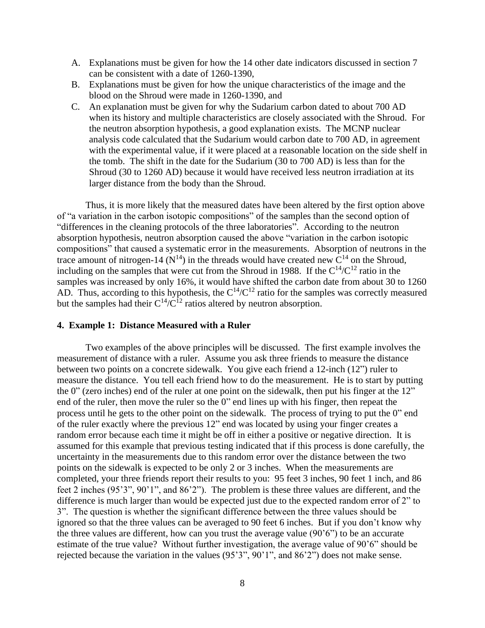- A. Explanations must be given for how the 14 other date indicators discussed in section 7 can be consistent with a date of 1260-1390,
- B. Explanations must be given for how the unique characteristics of the image and the blood on the Shroud were made in 1260-1390, and
- C. An explanation must be given for why the Sudarium carbon dated to about 700 AD when its history and multiple characteristics are closely associated with the Shroud. For the neutron absorption hypothesis, a good explanation exists. The MCNP nuclear analysis code calculated that the Sudarium would carbon date to 700 AD, in agreement with the experimental value, if it were placed at a reasonable location on the side shelf in the tomb. The shift in the date for the Sudarium (30 to 700 AD) is less than for the Shroud (30 to 1260 AD) because it would have received less neutron irradiation at its larger distance from the body than the Shroud.

Thus, it is more likely that the measured dates have been altered by the first option above of "a variation in the carbon isotopic compositions" of the samples than the second option of "differences in the cleaning protocols of the three laboratories". According to the neutron absorption hypothesis, neutron absorption caused the above "variation in the carbon isotopic compositions" that caused a systematic error in the measurements. Absorption of neutrons in the trace amount of nitrogen-14 ( $N^{14}$ ) in the threads would have created new  $C^{14}$  on the Shroud, including on the samples that were cut from the Shroud in 1988. If the  $C^{14}/C^{12}$  ratio in the samples was increased by only 16%, it would have shifted the carbon date from about 30 to 1260 AD. Thus, according to this hypothesis, the  $C^{14}/C^{12}$  ratio for the samples was correctly measured but the samples had their  $C^{14}/C^{12}$  ratios altered by neutron absorption.

#### **4. Example 1: Distance Measured with a Ruler**

Two examples of the above principles will be discussed. The first example involves the measurement of distance with a ruler. Assume you ask three friends to measure the distance between two points on a concrete sidewalk. You give each friend a 12-inch (12") ruler to measure the distance. You tell each friend how to do the measurement. He is to start by putting the 0" (zero inches) end of the ruler at one point on the sidewalk, then put his finger at the 12" end of the ruler, then move the ruler so the 0" end lines up with his finger, then repeat the process until he gets to the other point on the sidewalk. The process of trying to put the 0" end of the ruler exactly where the previous 12" end was located by using your finger creates a random error because each time it might be off in either a positive or negative direction. It is assumed for this example that previous testing indicated that if this process is done carefully, the uncertainty in the measurements due to this random error over the distance between the two points on the sidewalk is expected to be only 2 or 3 inches. When the measurements are completed, your three friends report their results to you: 95 feet 3 inches, 90 feet 1 inch, and 86 feet 2 inches (95'3", 90'1", and 86'2"). The problem is these three values are different, and the difference is much larger than would be expected just due to the expected random error of 2" to 3". The question is whether the significant difference between the three values should be ignored so that the three values can be averaged to 90 feet 6 inches. But if you don't know why the three values are different, how can you trust the average value (90'6") to be an accurate estimate of the true value? Without further investigation, the average value of 90'6" should be rejected because the variation in the values (95'3", 90'1", and 86'2") does not make sense.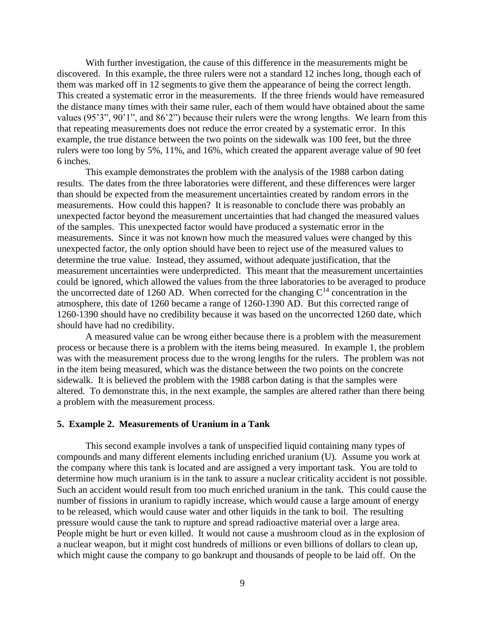With further investigation, the cause of this difference in the measurements might be discovered. In this example, the three rulers were not a standard 12 inches long, though each of them was marked off in 12 segments to give them the appearance of being the correct length. This created a systematic error in the measurements. If the three friends would have remeasured the distance many times with their same ruler, each of them would have obtained about the same values (95'3", 90'1", and 86'2") because their rulers were the wrong lengths. We learn from this that repeating measurements does not reduce the error created by a systematic error. In this example, the true distance between the two points on the sidewalk was 100 feet, but the three rulers were too long by 5%, 11%, and 16%, which created the apparent average value of 90 feet 6 inches.

This example demonstrates the problem with the analysis of the 1988 carbon dating results. The dates from the three laboratories were different, and these differences were larger than should be expected from the measurement uncertainties created by random errors in the measurements. How could this happen? It is reasonable to conclude there was probably an unexpected factor beyond the measurement uncertainties that had changed the measured values of the samples. This unexpected factor would have produced a systematic error in the measurements. Since it was not known how much the measured values were changed by this unexpected factor, the only option should have been to reject use of the measured values to determine the true value. Instead, they assumed, without adequate justification, that the measurement uncertainties were underpredicted. This meant that the measurement uncertainties could be ignored, which allowed the values from the three laboratories to be averaged to produce the uncorrected date of 1260 AD. When corrected for the changing  $C^{14}$  concentration in the atmosphere, this date of 1260 became a range of 1260-1390 AD. But this corrected range of 1260-1390 should have no credibility because it was based on the uncorrected 1260 date, which should have had no credibility.

A measured value can be wrong either because there is a problem with the measurement process or because there is a problem with the items being measured. In example 1, the problem was with the measurement process due to the wrong lengths for the rulers. The problem was not in the item being measured, which was the distance between the two points on the concrete sidewalk. It is believed the problem with the 1988 carbon dating is that the samples were altered. To demonstrate this, in the next example, the samples are altered rather than there being a problem with the measurement process.

#### **5. Example 2. Measurements of Uranium in a Tank**

This second example involves a tank of unspecified liquid containing many types of compounds and many different elements including enriched uranium (U). Assume you work at the company where this tank is located and are assigned a very important task. You are told to determine how much uranium is in the tank to assure a nuclear criticality accident is not possible. Such an accident would result from too much enriched uranium in the tank. This could cause the number of fissions in uranium to rapidly increase, which would cause a large amount of energy to be released, which would cause water and other liquids in the tank to boil. The resulting pressure would cause the tank to rupture and spread radioactive material over a large area. People might be hurt or even killed. It would not cause a mushroom cloud as in the explosion of a nuclear weapon, but it might cost hundreds of millions or even billions of dollars to clean up, which might cause the company to go bankrupt and thousands of people to be laid off. On the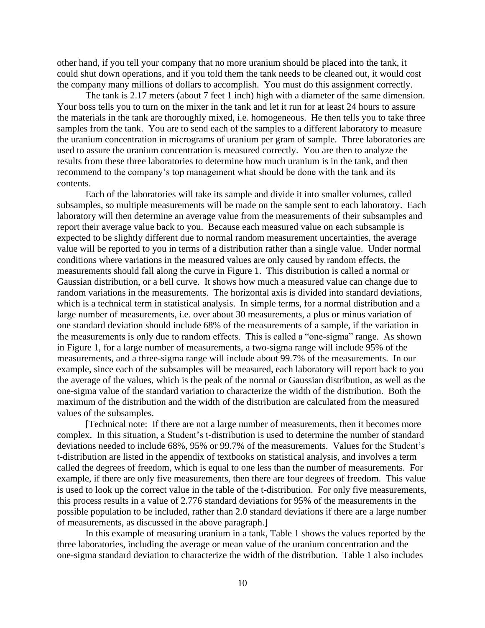other hand, if you tell your company that no more uranium should be placed into the tank, it could shut down operations, and if you told them the tank needs to be cleaned out, it would cost the company many millions of dollars to accomplish. You must do this assignment correctly.

The tank is 2.17 meters (about 7 feet 1 inch) high with a diameter of the same dimension. Your boss tells you to turn on the mixer in the tank and let it run for at least 24 hours to assure the materials in the tank are thoroughly mixed, i.e. homogeneous. He then tells you to take three samples from the tank. You are to send each of the samples to a different laboratory to measure the uranium concentration in micrograms of uranium per gram of sample. Three laboratories are used to assure the uranium concentration is measured correctly. You are then to analyze the results from these three laboratories to determine how much uranium is in the tank, and then recommend to the company's top management what should be done with the tank and its contents.

Each of the laboratories will take its sample and divide it into smaller volumes, called subsamples, so multiple measurements will be made on the sample sent to each laboratory. Each laboratory will then determine an average value from the measurements of their subsamples and report their average value back to you. Because each measured value on each subsample is expected to be slightly different due to normal random measurement uncertainties, the average value will be reported to you in terms of a distribution rather than a single value. Under normal conditions where variations in the measured values are only caused by random effects, the measurements should fall along the curve in Figure 1. This distribution is called a normal or Gaussian distribution, or a bell curve. It shows how much a measured value can change due to random variations in the measurements. The horizontal axis is divided into standard deviations, which is a technical term in statistical analysis. In simple terms, for a normal distribution and a large number of measurements, i.e. over about 30 measurements, a plus or minus variation of one standard deviation should include 68% of the measurements of a sample, if the variation in the measurements is only due to random effects. This is called a "one-sigma" range. As shown in Figure 1, for a large number of measurements, a two-sigma range will include 95% of the measurements, and a three-sigma range will include about 99.7% of the measurements. In our example, since each of the subsamples will be measured, each laboratory will report back to you the average of the values, which is the peak of the normal or Gaussian distribution, as well as the one-sigma value of the standard variation to characterize the width of the distribution. Both the maximum of the distribution and the width of the distribution are calculated from the measured values of the subsamples.

[Technical note: If there are not a large number of measurements, then it becomes more complex. In this situation, a Student's t-distribution is used to determine the number of standard deviations needed to include 68%, 95% or 99.7% of the measurements. Values for the Student's t-distribution are listed in the appendix of textbooks on statistical analysis, and involves a term called the degrees of freedom, which is equal to one less than the number of measurements. For example, if there are only five measurements, then there are four degrees of freedom. This value is used to look up the correct value in the table of the t-distribution. For only five measurements, this process results in a value of 2.776 standard deviations for 95% of the measurements in the possible population to be included, rather than 2.0 standard deviations if there are a large number of measurements, as discussed in the above paragraph.]

In this example of measuring uranium in a tank, Table 1 shows the values reported by the three laboratories, including the average or mean value of the uranium concentration and the one-sigma standard deviation to characterize the width of the distribution. Table 1 also includes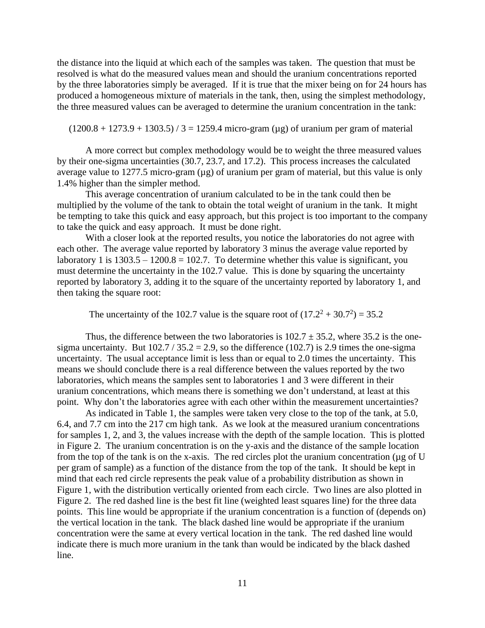the distance into the liquid at which each of the samples was taken. The question that must be resolved is what do the measured values mean and should the uranium concentrations reported by the three laboratories simply be averaged. If it is true that the mixer being on for 24 hours has produced a homogeneous mixture of materials in the tank, then, using the simplest methodology, the three measured values can be averaged to determine the uranium concentration in the tank:

 $(1200.8 + 1273.9 + 1303.5) / 3 = 1259.4$  micro-gram (ug) of uranium per gram of material

A more correct but complex methodology would be to weight the three measured values by their one-sigma uncertainties (30.7, 23.7, and 17.2). This process increases the calculated average value to 1277.5 micro-gram  $(\mu g)$  of uranium per gram of material, but this value is only 1.4% higher than the simpler method.

This average concentration of uranium calculated to be in the tank could then be multiplied by the volume of the tank to obtain the total weight of uranium in the tank. It might be tempting to take this quick and easy approach, but this project is too important to the company to take the quick and easy approach. It must be done right.

With a closer look at the reported results, you notice the laboratories do not agree with each other. The average value reported by laboratory 3 minus the average value reported by laboratory 1 is  $1303.5 - 1200.8 = 102.7$ . To determine whether this value is significant, you must determine the uncertainty in the 102.7 value. This is done by squaring the uncertainty reported by laboratory 3, adding it to the square of the uncertainty reported by laboratory 1, and then taking the square root:

The uncertainty of the 102.7 value is the square root of  $(17.2^2 + 30.7^2) = 35.2$ 

Thus, the difference between the two laboratories is  $102.7 \pm 35.2$ , where 35.2 is the onesigma uncertainty. But  $102.7 / 35.2 = 2.9$ , so the difference (102.7) is 2.9 times the one-sigma uncertainty. The usual acceptance limit is less than or equal to 2.0 times the uncertainty. This means we should conclude there is a real difference between the values reported by the two laboratories, which means the samples sent to laboratories 1 and 3 were different in their uranium concentrations, which means there is something we don't understand, at least at this point. Why don't the laboratories agree with each other within the measurement uncertainties?

As indicated in Table 1, the samples were taken very close to the top of the tank, at 5.0, 6.4, and 7.7 cm into the 217 cm high tank. As we look at the measured uranium concentrations for samples 1, 2, and 3, the values increase with the depth of the sample location. This is plotted in Figure 2. The uranium concentration is on the y-axis and the distance of the sample location from the top of the tank is on the x-axis. The red circles plot the uranium concentration (µg of U per gram of sample) as a function of the distance from the top of the tank. It should be kept in mind that each red circle represents the peak value of a probability distribution as shown in Figure 1, with the distribution vertically oriented from each circle. Two lines are also plotted in Figure 2. The red dashed line is the best fit line (weighted least squares line) for the three data points. This line would be appropriate if the uranium concentration is a function of (depends on) the vertical location in the tank. The black dashed line would be appropriate if the uranium concentration were the same at every vertical location in the tank. The red dashed line would indicate there is much more uranium in the tank than would be indicated by the black dashed line.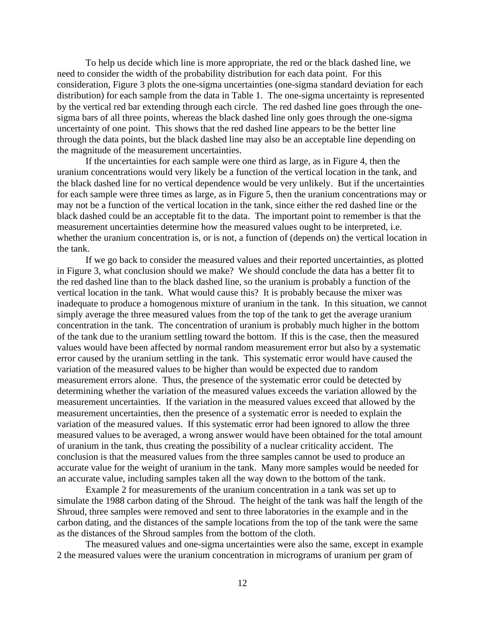To help us decide which line is more appropriate, the red or the black dashed line, we need to consider the width of the probability distribution for each data point. For this consideration, Figure 3 plots the one-sigma uncertainties (one-sigma standard deviation for each distribution) for each sample from the data in Table 1. The one-sigma uncertainty is represented by the vertical red bar extending through each circle. The red dashed line goes through the onesigma bars of all three points, whereas the black dashed line only goes through the one-sigma uncertainty of one point. This shows that the red dashed line appears to be the better line through the data points, but the black dashed line may also be an acceptable line depending on the magnitude of the measurement uncertainties.

If the uncertainties for each sample were one third as large, as in Figure 4, then the uranium concentrations would very likely be a function of the vertical location in the tank, and the black dashed line for no vertical dependence would be very unlikely. But if the uncertainties for each sample were three times as large, as in Figure 5, then the uranium concentrations may or may not be a function of the vertical location in the tank, since either the red dashed line or the black dashed could be an acceptable fit to the data. The important point to remember is that the measurement uncertainties determine how the measured values ought to be interpreted, i.e. whether the uranium concentration is, or is not, a function of (depends on) the vertical location in the tank.

If we go back to consider the measured values and their reported uncertainties, as plotted in Figure 3, what conclusion should we make? We should conclude the data has a better fit to the red dashed line than to the black dashed line, so the uranium is probably a function of the vertical location in the tank. What would cause this? It is probably because the mixer was inadequate to produce a homogenous mixture of uranium in the tank. In this situation, we cannot simply average the three measured values from the top of the tank to get the average uranium concentration in the tank. The concentration of uranium is probably much higher in the bottom of the tank due to the uranium settling toward the bottom. If this is the case, then the measured values would have been affected by normal random measurement error but also by a systematic error caused by the uranium settling in the tank. This systematic error would have caused the variation of the measured values to be higher than would be expected due to random measurement errors alone. Thus, the presence of the systematic error could be detected by determining whether the variation of the measured values exceeds the variation allowed by the measurement uncertainties. If the variation in the measured values exceed that allowed by the measurement uncertainties, then the presence of a systematic error is needed to explain the variation of the measured values. If this systematic error had been ignored to allow the three measured values to be averaged, a wrong answer would have been obtained for the total amount of uranium in the tank, thus creating the possibility of a nuclear criticality accident. The conclusion is that the measured values from the three samples cannot be used to produce an accurate value for the weight of uranium in the tank. Many more samples would be needed for an accurate value, including samples taken all the way down to the bottom of the tank.

Example 2 for measurements of the uranium concentration in a tank was set up to simulate the 1988 carbon dating of the Shroud. The height of the tank was half the length of the Shroud, three samples were removed and sent to three laboratories in the example and in the carbon dating, and the distances of the sample locations from the top of the tank were the same as the distances of the Shroud samples from the bottom of the cloth.

The measured values and one-sigma uncertainties were also the same, except in example 2 the measured values were the uranium concentration in micrograms of uranium per gram of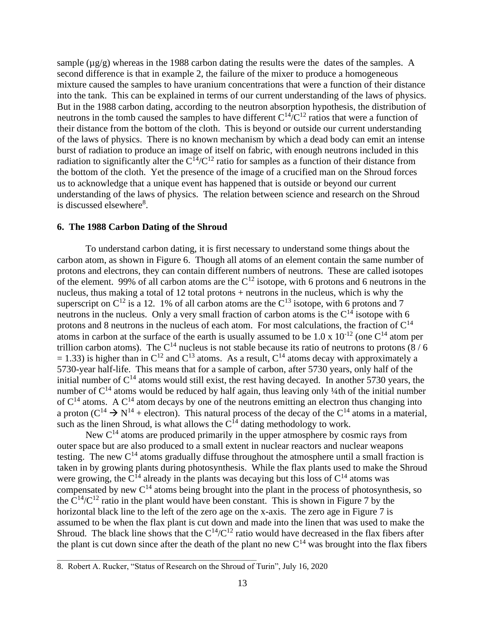sample  $(\mu g/g)$  whereas in the 1988 carbon dating the results were the dates of the samples. A second difference is that in example 2, the failure of the mixer to produce a homogeneous mixture caused the samples to have uranium concentrations that were a function of their distance into the tank. This can be explained in terms of our current understanding of the laws of physics. But in the 1988 carbon dating, according to the neutron absorption hypothesis, the distribution of neutrons in the tomb caused the samples to have different  $C^{14}/C^{12}$  ratios that were a function of their distance from the bottom of the cloth. This is beyond or outside our current understanding of the laws of physics. There is no known mechanism by which a dead body can emit an intense burst of radiation to produce an image of itself on fabric, with enough neutrons included in this radiation to significantly alter the  $C^{14}/C^{12}$  ratio for samples as a function of their distance from the bottom of the cloth. Yet the presence of the image of a crucified man on the Shroud forces us to acknowledge that a unique event has happened that is outside or beyond our current understanding of the laws of physics. The relation between science and research on the Shroud is discussed elsewhere<sup>8</sup>.

# **6. The 1988 Carbon Dating of the Shroud**

To understand carbon dating, it is first necessary to understand some things about the carbon atom, as shown in Figure 6. Though all atoms of an element contain the same number of protons and electrons, they can contain different numbers of neutrons. These are called isotopes of the element. 99% of all carbon atoms are the  $C^{12}$  isotope, with 6 protons and 6 neutrons in the nucleus, thus making a total of 12 total protons + neutrons in the nucleus, which is why the superscript on  $C^{12}$  is a 12. 1% of all carbon atoms are the  $C^{13}$  isotope, with 6 protons and 7 neutrons in the nucleus. Only a very small fraction of carbon atoms is the  $C^{14}$  isotope with 6 protons and 8 neutrons in the nucleus of each atom. For most calculations, the fraction of  $C^{14}$ atoms in carbon at the surface of the earth is usually assumed to be 1.0 x  $10^{-12}$  (one  $C^{14}$  atom per trillion carbon atoms). The  $C^{14}$  nucleus is not stable because its ratio of neutrons to protons (8/6)  $= 1.33$ ) is higher than in C<sup>12</sup> and C<sup>13</sup> atoms. As a result, C<sup>14</sup> atoms decay with approximately a 5730-year half-life. This means that for a sample of carbon, after 5730 years, only half of the initial number of  $C^{14}$  atoms would still exist, the rest having decayed. In another 5730 years, the number of  $C^{14}$  atoms would be reduced by half again, thus leaving only  $\frac{1}{4}$ th of the initial number of  $C^{14}$  atoms. A  $C^{14}$  atom decays by one of the neutrons emitting an electron thus changing into a proton ( $C^{14} \rightarrow N^{14}$  + electron). This natural process of the decay of the  $C^{14}$  atoms in a material, such as the linen Shroud, is what allows the  $C^{14}$  dating methodology to work.

New  $C^{14}$  atoms are produced primarily in the upper atmosphere by cosmic rays from outer space but are also produced to a small extent in nuclear reactors and nuclear weapons testing. The new  $C^{14}$  atoms gradually diffuse throughout the atmosphere until a small fraction is taken in by growing plants during photosynthesis. While the flax plants used to make the Shroud were growing, the  $C^{14}$  already in the plants was decaying but this loss of  $C^{14}$  atoms was compensated by new  $C^{14}$  atoms being brought into the plant in the process of photosynthesis, so the  $C^{14}/C^{12}$  ratio in the plant would have been constant. This is shown in Figure 7 by the horizontal black line to the left of the zero age on the x-axis. The zero age in Figure 7 is assumed to be when the flax plant is cut down and made into the linen that was used to make the Shroud. The black line shows that the  $C^{14}/C^{12}$  ratio would have decreased in the flax fibers after the plant is cut down since after the death of the plant no new  $C^{14}$  was brought into the flax fibers

<sup>8.</sup> Robert A. Rucker, "Status of Research on the Shroud of Turin", July 16, 2020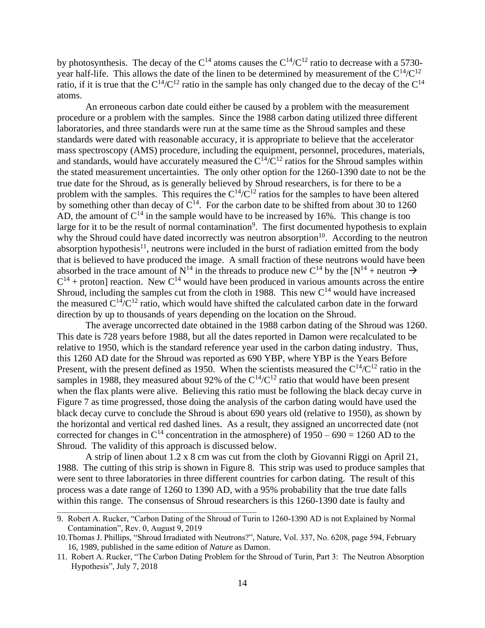by photosynthesis. The decay of the  $C^{14}$  atoms causes the  $C^{14}/C^{12}$  ratio to decrease with a 5730year half-life. This allows the date of the linen to be determined by measurement of the  $C^{14}/C^{12}$ ratio, if it is true that the  $C^{14}/C^{12}$  ratio in the sample has only changed due to the decay of the  $C^{14}$ atoms.

An erroneous carbon date could either be caused by a problem with the measurement procedure or a problem with the samples. Since the 1988 carbon dating utilized three different laboratories, and three standards were run at the same time as the Shroud samples and these standards were dated with reasonable accuracy, it is appropriate to believe that the accelerator mass spectroscopy (AMS) procedure, including the equipment, personnel, procedures, materials, and standards, would have accurately measured the  $C^{14}/C^{12}$  ratios for the Shroud samples within the stated measurement uncertainties. The only other option for the 1260-1390 date to not be the true date for the Shroud, as is generally believed by Shroud researchers, is for there to be a problem with the samples. This requires the  $C^{14}/C^{12}$  ratios for the samples to have been altered by something other than decay of  $C^{14}$ . For the carbon date to be shifted from about 30 to 1260 AD, the amount of  $C^{14}$  in the sample would have to be increased by 16%. This change is too large for it to be the result of normal contamination<sup>9</sup>. The first documented hypothesis to explain why the Shroud could have dated incorrectly was neutron absorption<sup>10</sup>. According to the neutron absorption hypothesis<sup>11</sup>, neutrons were included in the burst of radiation emitted from the body that is believed to have produced the image. A small fraction of these neutrons would have been absorbed in the trace amount of  $N^{14}$  in the threads to produce new C<sup>14</sup> by the [N<sup>14</sup> + neutron  $\rightarrow$  $C^{14}$  + proton] reaction. New  $C^{14}$  would have been produced in various amounts across the entire Shroud, including the samples cut from the cloth in 1988. This new  $C^{14}$  would have increased the measured  $C^{14}/C^{12}$  ratio, which would have shifted the calculated carbon date in the forward direction by up to thousands of years depending on the location on the Shroud.

The average uncorrected date obtained in the 1988 carbon dating of the Shroud was 1260. This date is 728 years before 1988, but all the dates reported in Damon were recalculated to be relative to 1950, which is the standard reference year used in the carbon dating industry. Thus, this 1260 AD date for the Shroud was reported as 690 YBP, where YBP is the Years Before Present, with the present defined as 1950. When the scientists measured the  $C^{14}/C^{12}$  ratio in the samples in 1988, they measured about 92% of the  $C^{14}/C^{12}$  ratio that would have been present when the flax plants were alive. Believing this ratio must be following the black decay curve in Figure 7 as time progressed, those doing the analysis of the carbon dating would have used the black decay curve to conclude the Shroud is about 690 years old (relative to 1950), as shown by the horizontal and vertical red dashed lines. As a result, they assigned an uncorrected date (not corrected for changes in  $C^{14}$  concentration in the atmosphere) of  $1950 - 690 = 1260$  AD to the Shroud. The validity of this approach is discussed below.

A strip of linen about 1.2 x 8 cm was cut from the cloth by Giovanni Riggi on April 21, 1988. The cutting of this strip is shown in Figure 8. This strip was used to produce samples that were sent to three laboratories in three different countries for carbon dating. The result of this process was a date range of 1260 to 1390 AD, with a 95% probability that the true date falls within this range. The consensus of Shroud researchers is this 1260-1390 date is faulty and

<sup>9.</sup> Robert A. Rucker, "Carbon Dating of the Shroud of Turin to 1260-1390 AD is not Explained by Normal Contamination", Rev. 0, August 9, 2019

<sup>10.</sup>Thomas J. Phillips, "Shroud Irradiated with Neutrons?", Nature, Vol. 337, No. 6208, page 594, February 16, 1989, published in the same edition of *Nature* as Damon.

<sup>11.</sup> Robert A. Rucker, "The Carbon Dating Problem for the Shroud of Turin, Part 3: The Neutron Absorption Hypothesis", July 7, 2018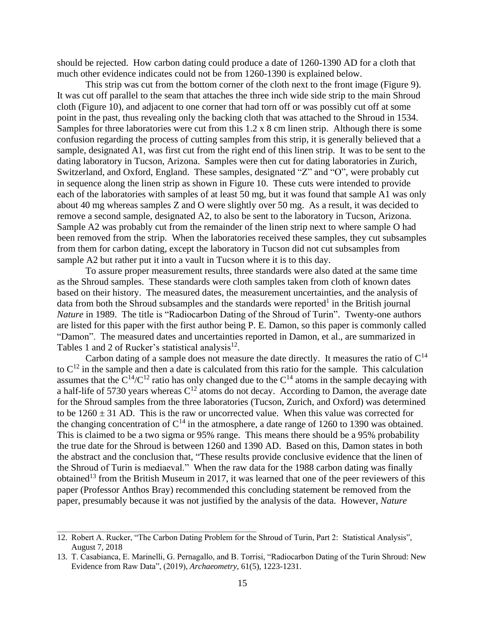should be rejected. How carbon dating could produce a date of 1260-1390 AD for a cloth that much other evidence indicates could not be from 1260-1390 is explained below.

This strip was cut from the bottom corner of the cloth next to the front image (Figure 9). It was cut off parallel to the seam that attaches the three inch wide side strip to the main Shroud cloth (Figure 10), and adjacent to one corner that had torn off or was possibly cut off at some point in the past, thus revealing only the backing cloth that was attached to the Shroud in 1534. Samples for three laboratories were cut from this 1.2 x 8 cm linen strip. Although there is some confusion regarding the process of cutting samples from this strip, it is generally believed that a sample, designated A1, was first cut from the right end of this linen strip. It was to be sent to the dating laboratory in Tucson, Arizona. Samples were then cut for dating laboratories in Zurich, Switzerland, and Oxford, England. These samples, designated "Z" and "O", were probably cut in sequence along the linen strip as shown in Figure 10. These cuts were intended to provide each of the laboratories with samples of at least 50 mg, but it was found that sample A1 was only about 40 mg whereas samples Z and O were slightly over 50 mg. As a result, it was decided to remove a second sample, designated A2, to also be sent to the laboratory in Tucson, Arizona. Sample A2 was probably cut from the remainder of the linen strip next to where sample O had been removed from the strip. When the laboratories received these samples, they cut subsamples from them for carbon dating, except the laboratory in Tucson did not cut subsamples from sample A2 but rather put it into a vault in Tucson where it is to this day.

To assure proper measurement results, three standards were also dated at the same time as the Shroud samples. These standards were cloth samples taken from cloth of known dates based on their history. The measured dates, the measurement uncertainties, and the analysis of data from both the Shroud subsamples and the standards were reported<sup>1</sup> in the British journal *Nature* in 1989. The title is "Radiocarbon Dating of the Shroud of Turin". Twenty-one authors are listed for this paper with the first author being P. E. Damon, so this paper is commonly called "Damon". The measured dates and uncertainties reported in Damon, et al., are summarized in Tables 1 and 2 of Rucker's statistical analysis $^{12}$ .

Carbon dating of a sample does not measure the date directly. It measures the ratio of  $C^{14}$ to  $C^{12}$  in the sample and then a date is calculated from this ratio for the sample. This calculation assumes that the  $C^{14}/C^{12}$  ratio has only changed due to the  $C^{14}$  atoms in the sample decaying with a half-life of 5730 years whereas  $C^{12}$  atoms do not decay. According to Damon, the average date for the Shroud samples from the three laboratories (Tucson, Zurich, and Oxford) was determined to be  $1260 \pm 31$  AD. This is the raw or uncorrected value. When this value was corrected for the changing concentration of  $C^{14}$  in the atmosphere, a date range of 1260 to 1390 was obtained. This is claimed to be a two sigma or 95% range. This means there should be a 95% probability the true date for the Shroud is between 1260 and 1390 AD. Based on this, Damon states in both the abstract and the conclusion that, "These results provide conclusive evidence that the linen of the Shroud of Turin is mediaeval." When the raw data for the 1988 carbon dating was finally obtained<sup>13</sup> from the British Museum in 2017, it was learned that one of the peer reviewers of this paper (Professor Anthos Bray) recommended this concluding statement be removed from the paper, presumably because it was not justified by the analysis of the data. However, *Nature*

<sup>12.</sup> Robert A. Rucker, "The Carbon Dating Problem for the Shroud of Turin, Part 2: Statistical Analysis", August 7, 2018

<sup>13.</sup> T. Casabianca, E. Marinelli, G. Pernagallo, and B. Torrisi, "Radiocarbon Dating of the Turin Shroud: New Evidence from Raw Data", (2019), *Archaeometry*, 61(5), 1223-1231.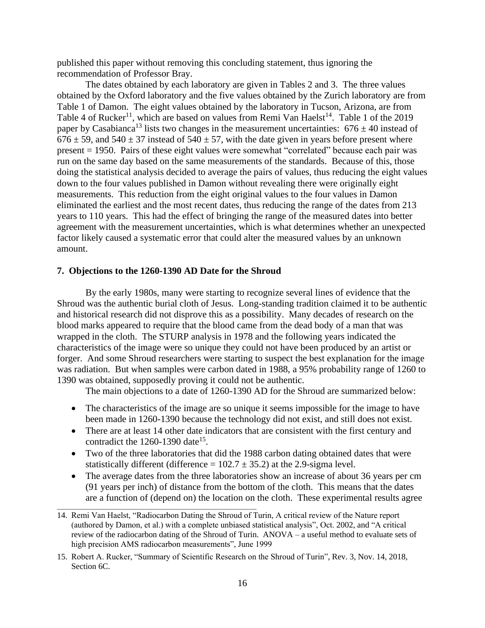published this paper without removing this concluding statement, thus ignoring the recommendation of Professor Bray.

The dates obtained by each laboratory are given in Tables 2 and 3. The three values obtained by the Oxford laboratory and the five values obtained by the Zurich laboratory are from Table 1 of Damon. The eight values obtained by the laboratory in Tucson, Arizona, are from Table 4 of Rucker<sup>11</sup>, which are based on values from Remi Van Haelst<sup>14</sup>. Table 1 of the 2019 paper by Casabianca<sup>13</sup> lists two changes in the measurement uncertainties:  $676 \pm 40$  instead of  $676 \pm 59$ , and  $540 \pm 37$  instead of  $540 \pm 57$ , with the date given in years before present where present = 1950. Pairs of these eight values were somewhat "correlated" because each pair was run on the same day based on the same measurements of the standards. Because of this, those doing the statistical analysis decided to average the pairs of values, thus reducing the eight values down to the four values published in Damon without revealing there were originally eight measurements. This reduction from the eight original values to the four values in Damon eliminated the earliest and the most recent dates, thus reducing the range of the dates from 213 years to 110 years. This had the effect of bringing the range of the measured dates into better agreement with the measurement uncertainties, which is what determines whether an unexpected factor likely caused a systematic error that could alter the measured values by an unknown amount.

# **7. Objections to the 1260-1390 AD Date for the Shroud**

\_\_\_\_\_\_\_\_\_\_\_\_\_\_\_\_\_\_\_\_\_\_\_\_\_\_\_\_\_\_\_\_\_\_\_\_\_\_\_\_\_\_\_\_\_\_\_\_\_\_\_\_\_\_\_\_\_\_\_\_\_\_\_

By the early 1980s, many were starting to recognize several lines of evidence that the Shroud was the authentic burial cloth of Jesus. Long-standing tradition claimed it to be authentic and historical research did not disprove this as a possibility. Many decades of research on the blood marks appeared to require that the blood came from the dead body of a man that was wrapped in the cloth. The STURP analysis in 1978 and the following years indicated the characteristics of the image were so unique they could not have been produced by an artist or forger. And some Shroud researchers were starting to suspect the best explanation for the image was radiation. But when samples were carbon dated in 1988, a 95% probability range of 1260 to 1390 was obtained, supposedly proving it could not be authentic.

The main objections to a date of 1260-1390 AD for the Shroud are summarized below:

- The characteristics of the image are so unique it seems impossible for the image to have been made in 1260-1390 because the technology did not exist, and still does not exist.
- There are at least 14 other date indicators that are consistent with the first century and contradict the  $1260 - 1390$  date<sup>15</sup>.
- Two of the three laboratories that did the 1988 carbon dating obtained dates that were statistically different (difference =  $102.7 \pm 35.2$ ) at the 2.9-sigma level.
- The average dates from the three laboratories show an increase of about 36 years per cm (91 years per inch) of distance from the bottom of the cloth. This means that the dates are a function of (depend on) the location on the cloth. These experimental results agree

<sup>14.</sup> Remi Van Haelst, "Radiocarbon Dating the Shroud of Turin, A critical review of the Nature report (authored by Damon, et al.) with a complete unbiased statistical analysis", Oct. 2002, and "A critical review of the radiocarbon dating of the Shroud of Turin. ANOVA – a useful method to evaluate sets of high precision AMS radiocarbon measurements", June 1999

<sup>15.</sup> Robert A. Rucker, "Summary of Scientific Research on the Shroud of Turin", Rev. 3, Nov. 14, 2018, Section 6C.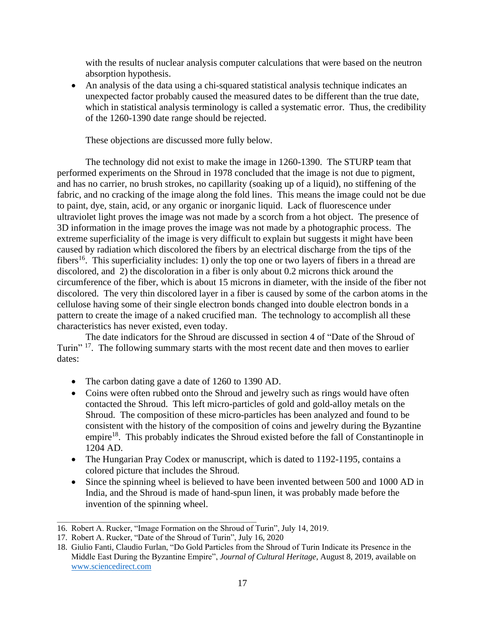with the results of nuclear analysis computer calculations that were based on the neutron absorption hypothesis.

• An analysis of the data using a chi-squared statistical analysis technique indicates an unexpected factor probably caused the measured dates to be different than the true date, which in statistical analysis terminology is called a systematic error. Thus, the credibility of the 1260-1390 date range should be rejected.

These objections are discussed more fully below.

The technology did not exist to make the image in 1260-1390. The STURP team that performed experiments on the Shroud in 1978 concluded that the image is not due to pigment, and has no carrier, no brush strokes, no capillarity (soaking up of a liquid), no stiffening of the fabric, and no cracking of the image along the fold lines. This means the image could not be due to paint, dye, stain, acid, or any organic or inorganic liquid. Lack of fluorescence under ultraviolet light proves the image was not made by a scorch from a hot object. The presence of 3D information in the image proves the image was not made by a photographic process. The extreme superficiality of the image is very difficult to explain but suggests it might have been caused by radiation which discolored the fibers by an electrical discharge from the tips of the fibers<sup>16</sup>. This superficiality includes: 1) only the top one or two layers of fibers in a thread are discolored, and 2) the discoloration in a fiber is only about 0.2 microns thick around the circumference of the fiber, which is about 15 microns in diameter, with the inside of the fiber not discolored. The very thin discolored layer in a fiber is caused by some of the carbon atoms in the cellulose having some of their single electron bonds changed into double electron bonds in a pattern to create the image of a naked crucified man. The technology to accomplish all these characteristics has never existed, even today.

The date indicators for the Shroud are discussed in section 4 of "Date of the Shroud of Turin"<sup>17</sup>. The following summary starts with the most recent date and then moves to earlier dates:

- The carbon dating gave a date of 1260 to 1390 AD.
- Coins were often rubbed onto the Shroud and jewelry such as rings would have often contacted the Shroud. This left micro-particles of gold and gold-alloy metals on the Shroud. The composition of these micro-particles has been analyzed and found to be consistent with the history of the composition of coins and jewelry during the Byzantine empire<sup>18</sup>. This probably indicates the Shroud existed before the fall of Constantinople in 1204 AD.
- The Hungarian Pray Codex or manuscript, which is dated to 1192-1195, contains a colored picture that includes the Shroud.
- Since the spinning wheel is believed to have been invented between 500 and 1000 AD in India, and the Shroud is made of hand-spun linen, it was probably made before the invention of the spinning wheel.

<sup>16.</sup> Robert A. Rucker, "Image Formation on the Shroud of Turin", July 14, 2019.

<sup>17.</sup> Robert A. Rucker, "Date of the Shroud of Turin", July 16, 2020

<sup>18.</sup> Giulio Fanti, Claudio Furlan, "Do Gold Particles from the Shroud of Turin Indicate its Presence in the Middle East During the Byzantine Empire", *Journal of Cultural Heritage*, August 8, 2019, available on [www.sciencedirect.com](http://www.sciencedirect.com/)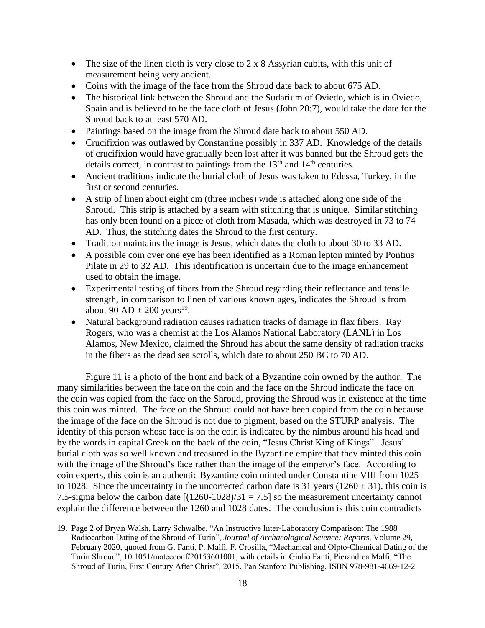- The size of the linen cloth is very close to  $2 \times 8$  Assyrian cubits, with this unit of measurement being very ancient.
- Coins with the image of the face from the Shroud date back to about 675 AD.
- The historical link between the Shroud and the Sudarium of Oviedo, which is in Oviedo, Spain and is believed to be the face cloth of Jesus (John 20:7), would take the date for the Shroud back to at least 570 AD.
- Paintings based on the image from the Shroud date back to about 550 AD.
- Crucifixion was outlawed by Constantine possibly in 337 AD. Knowledge of the details of crucifixion would have gradually been lost after it was banned but the Shroud gets the details correct, in contrast to paintings from the  $13<sup>th</sup>$  and  $14<sup>th</sup>$  centuries.
- Ancient traditions indicate the burial cloth of Jesus was taken to Edessa, Turkey, in the first or second centuries.
- A strip of linen about eight cm (three inches) wide is attached along one side of the Shroud. This strip is attached by a seam with stitching that is unique. Similar stitching has only been found on a piece of cloth from Masada, which was destroyed in 73 to 74 AD. Thus, the stitching dates the Shroud to the first century.
- Tradition maintains the image is Jesus, which dates the cloth to about 30 to 33 AD.
- A possible coin over one eye has been identified as a Roman lepton minted by Pontius Pilate in 29 to 32 AD. This identification is uncertain due to the image enhancement used to obtain the image.
- Experimental testing of fibers from the Shroud regarding their reflectance and tensile strength, in comparison to linen of various known ages, indicates the Shroud is from about 90 AD  $\pm$  200 years<sup>19</sup>.
- Natural background radiation causes radiation tracks of damage in flax fibers. Ray Rogers, who was a chemist at the Los Alamos National Laboratory (LANL) in Los Alamos, New Mexico, claimed the Shroud has about the same density of radiation tracks in the fibers as the dead sea scrolls, which date to about 250 BC to 70 AD.

Figure 11 is a photo of the front and back of a Byzantine coin owned by the author. The many similarities between the face on the coin and the face on the Shroud indicate the face on the coin was copied from the face on the Shroud, proving the Shroud was in existence at the time this coin was minted. The face on the Shroud could not have been copied from the coin because the image of the face on the Shroud is not due to pigment, based on the STURP analysis. The identity of this person whose face is on the coin is indicated by the nimbus around his head and by the words in capital Greek on the back of the coin, "Jesus Christ King of Kings". Jesus' burial cloth was so well known and treasured in the Byzantine empire that they minted this coin with the image of the Shroud's face rather than the image of the emperor's face. According to coin experts, this coin is an authentic Byzantine coin minted under Constantine VIII from 1025 to 1028. Since the uncertainty in the uncorrected carbon date is 31 years ( $1260 \pm 31$ ), this coin is 7.5-sigma below the carbon date  $[(1260-1028)/31 = 7.5]$  so the measurement uncertainty cannot explain the difference between the 1260 and 1028 dates. The conclusion is this coin contradicts

<sup>19.</sup> Page 2 of Bryan Walsh, Larry Schwalbe, "An Instructive Inter-Laboratory Comparison: The 1988 Radiocarbon Dating of the Shroud of Turin", *[Journal of Archaeological Science: Reports](https://www.sciencedirect.com/science/journal/2352409X)*, [Volume 29,](https://www.sciencedirect.com/science/journal/2352409X/29/supp/C) February 2020, quoted from G. Fanti, P. Malfi, F. Crosilla, "Mechanical and Olpto-Chemical Dating of the Turin Shroud", 10.1051/matecconf/20153601001, with details in Giulio Fanti, Pierandrea Malfi, "The Shroud of Turin, First Century After Christ", 2015, Pan Stanford Publishing, ISBN 978-981-4669-12-2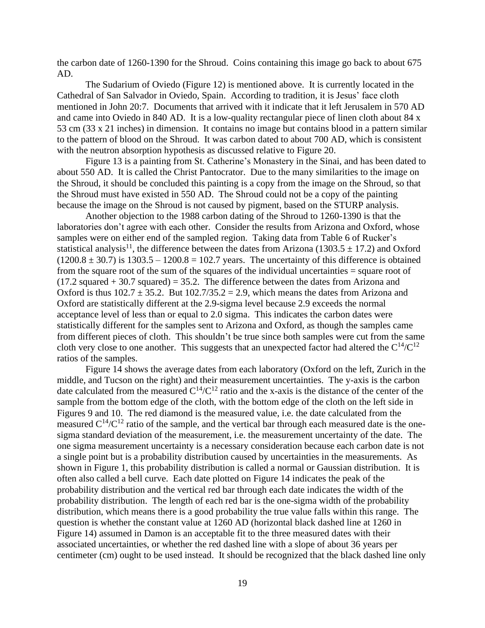the carbon date of 1260-1390 for the Shroud. Coins containing this image go back to about 675 AD.

The Sudarium of Oviedo (Figure 12) is mentioned above. It is currently located in the Cathedral of San Salvador in Oviedo, Spain. According to tradition, it is Jesus' face cloth mentioned in John 20:7. Documents that arrived with it indicate that it left Jerusalem in 570 AD and came into Oviedo in 840 AD. It is a low-quality rectangular piece of linen cloth about 84 x 53 cm (33 x 21 inches) in dimension. It contains no image but contains blood in a pattern similar to the pattern of blood on the Shroud. It was carbon dated to about 700 AD, which is consistent with the neutron absorption hypothesis as discussed relative to Figure 20.

Figure 13 is a painting from St. Catherine's Monastery in the Sinai, and has been dated to about 550 AD. It is called the Christ Pantocrator. Due to the many similarities to the image on the Shroud, it should be concluded this painting is a copy from the image on the Shroud, so that the Shroud must have existed in 550 AD. The Shroud could not be a copy of the painting because the image on the Shroud is not caused by pigment, based on the STURP analysis.

Another objection to the 1988 carbon dating of the Shroud to 1260-1390 is that the laboratories don't agree with each other. Consider the results from Arizona and Oxford, whose samples were on either end of the sampled region. Taking data from Table 6 of Rucker's statistical analysis<sup>11</sup>, the difference between the dates from Arizona (1303.5  $\pm$  17.2) and Oxford  $(1200.8 \pm 30.7)$  is  $1303.5 - 1200.8 = 102.7$  years. The uncertainty of this difference is obtained from the square root of the sum of the squares of the individual uncertainties = square root of  $(17.2 \text{ squared} + 30.7 \text{ squared}) = 35.2$ . The difference between the dates from Arizona and Oxford is thus  $102.7 \pm 35.2$ . But  $102.7/35.2 = 2.9$ , which means the dates from Arizona and Oxford are statistically different at the 2.9-sigma level because 2.9 exceeds the normal acceptance level of less than or equal to 2.0 sigma. This indicates the carbon dates were statistically different for the samples sent to Arizona and Oxford, as though the samples came from different pieces of cloth. This shouldn't be true since both samples were cut from the same cloth very close to one another. This suggests that an unexpected factor had altered the  $C^{14}/C^{12}$ ratios of the samples.

Figure 14 shows the average dates from each laboratory (Oxford on the left, Zurich in the middle, and Tucson on the right) and their measurement uncertainties. The y-axis is the carbon date calculated from the measured  $C^{14}/C^{12}$  ratio and the x-axis is the distance of the center of the sample from the bottom edge of the cloth, with the bottom edge of the cloth on the left side in Figures 9 and 10. The red diamond is the measured value, i.e. the date calculated from the measured  $C^{14}/C^{12}$  ratio of the sample, and the vertical bar through each measured date is the onesigma standard deviation of the measurement, i.e. the measurement uncertainty of the date. The one sigma measurement uncertainty is a necessary consideration because each carbon date is not a single point but is a probability distribution caused by uncertainties in the measurements. As shown in Figure 1, this probability distribution is called a normal or Gaussian distribution. It is often also called a bell curve. Each date plotted on Figure 14 indicates the peak of the probability distribution and the vertical red bar through each date indicates the width of the probability distribution. The length of each red bar is the one-sigma width of the probability distribution, which means there is a good probability the true value falls within this range. The question is whether the constant value at 1260 AD (horizontal black dashed line at 1260 in Figure 14) assumed in Damon is an acceptable fit to the three measured dates with their associated uncertainties, or whether the red dashed line with a slope of about 36 years per centimeter (cm) ought to be used instead. It should be recognized that the black dashed line only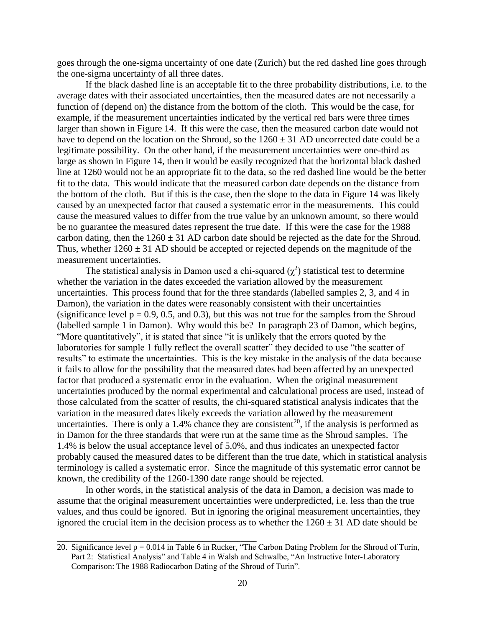goes through the one-sigma uncertainty of one date (Zurich) but the red dashed line goes through the one-sigma uncertainty of all three dates.

If the black dashed line is an acceptable fit to the three probability distributions, i.e. to the average dates with their associated uncertainties, then the measured dates are not necessarily a function of (depend on) the distance from the bottom of the cloth. This would be the case, for example, if the measurement uncertainties indicated by the vertical red bars were three times larger than shown in Figure 14. If this were the case, then the measured carbon date would not have to depend on the location on the Shroud, so the  $1260 \pm 31$  AD uncorrected date could be a legitimate possibility. On the other hand, if the measurement uncertainties were one-third as large as shown in Figure 14, then it would be easily recognized that the horizontal black dashed line at 1260 would not be an appropriate fit to the data, so the red dashed line would be the better fit to the data. This would indicate that the measured carbon date depends on the distance from the bottom of the cloth. But if this is the case, then the slope to the data in Figure 14 was likely caused by an unexpected factor that caused a systematic error in the measurements. This could cause the measured values to differ from the true value by an unknown amount, so there would be no guarantee the measured dates represent the true date. If this were the case for the 1988 carbon dating, then the  $1260 \pm 31$  AD carbon date should be rejected as the date for the Shroud. Thus, whether  $1260 \pm 31$  AD should be accepted or rejected depends on the magnitude of the measurement uncertainties.

The statistical analysis in Damon used a chi-squared  $(\chi^2)$  statistical test to determine whether the variation in the dates exceeded the variation allowed by the measurement uncertainties. This process found that for the three standards (labelled samples 2, 3, and 4 in Damon), the variation in the dates were reasonably consistent with their uncertainties (significance level  $p = 0.9, 0.5,$  and 0.3), but this was not true for the samples from the Shroud (labelled sample 1 in Damon). Why would this be? In paragraph 23 of Damon, which begins, "More quantitatively", it is stated that since "it is unlikely that the errors quoted by the laboratories for sample 1 fully reflect the overall scatter" they decided to use "the scatter of results" to estimate the uncertainties. This is the key mistake in the analysis of the data because it fails to allow for the possibility that the measured dates had been affected by an unexpected factor that produced a systematic error in the evaluation. When the original measurement uncertainties produced by the normal experimental and calculational process are used, instead of those calculated from the scatter of results, the chi-squared statistical analysis indicates that the variation in the measured dates likely exceeds the variation allowed by the measurement uncertainties. There is only a 1.4% chance they are consistent<sup>20</sup>, if the analysis is performed as in Damon for the three standards that were run at the same time as the Shroud samples. The 1.4% is below the usual acceptance level of 5.0%, and thus indicates an unexpected factor probably caused the measured dates to be different than the true date, which in statistical analysis terminology is called a systematic error. Since the magnitude of this systematic error cannot be known, the credibility of the 1260-1390 date range should be rejected.

In other words, in the statistical analysis of the data in Damon, a decision was made to assume that the original measurement uncertainties were underpredicted, i.e. less than the true values, and thus could be ignored. But in ignoring the original measurement uncertainties, they ignored the crucial item in the decision process as to whether the  $1260 \pm 31$  AD date should be

<sup>20.</sup> Significance level  $p = 0.014$  in Table 6 in Rucker, "The Carbon Dating Problem for the Shroud of Turin, Part 2: Statistical Analysis" and Table 4 in Walsh and Schwalbe, "An Instructive Inter-Laboratory Comparison: The 1988 Radiocarbon Dating of the Shroud of Turin".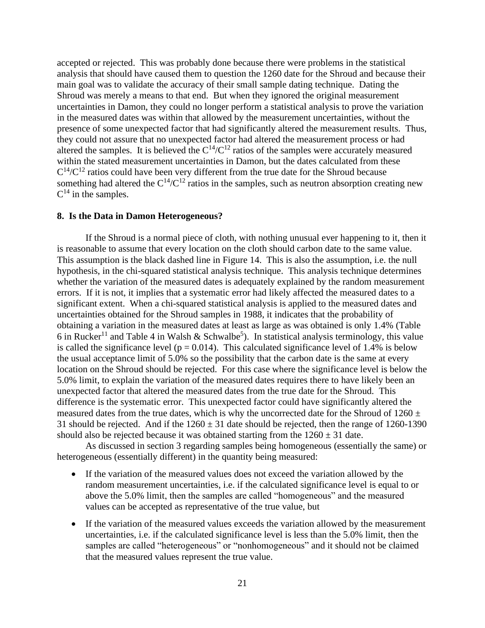accepted or rejected. This was probably done because there were problems in the statistical analysis that should have caused them to question the 1260 date for the Shroud and because their main goal was to validate the accuracy of their small sample dating technique. Dating the Shroud was merely a means to that end. But when they ignored the original measurement uncertainties in Damon, they could no longer perform a statistical analysis to prove the variation in the measured dates was within that allowed by the measurement uncertainties, without the presence of some unexpected factor that had significantly altered the measurement results. Thus, they could not assure that no unexpected factor had altered the measurement process or had altered the samples. It is believed the  $C^{14}/C^{12}$  ratios of the samples were accurately measured within the stated measurement uncertainties in Damon, but the dates calculated from these  $C^{14}/C^{12}$  ratios could have been very different from the true date for the Shroud because something had altered the  $C^{14}/C^{12}$  ratios in the samples, such as neutron absorption creating new  $C^{14}$  in the samples.

### **8. Is the Data in Damon Heterogeneous?**

If the Shroud is a normal piece of cloth, with nothing unusual ever happening to it, then it is reasonable to assume that every location on the cloth should carbon date to the same value. This assumption is the black dashed line in Figure 14. This is also the assumption, i.e. the null hypothesis, in the chi-squared statistical analysis technique. This analysis technique determines whether the variation of the measured dates is adequately explained by the random measurement errors. If it is not, it implies that a systematic error had likely affected the measured dates to a significant extent. When a chi-squared statistical analysis is applied to the measured dates and uncertainties obtained for the Shroud samples in 1988, it indicates that the probability of obtaining a variation in the measured dates at least as large as was obtained is only 1.4% (Table 6 in Rucker<sup>11</sup> and Table 4 in Walsh & Schwalbe<sup>5</sup>). In statistical analysis terminology, this value is called the significance level ( $p = 0.014$ ). This calculated significance level of 1.4% is below the usual acceptance limit of 5.0% so the possibility that the carbon date is the same at every location on the Shroud should be rejected. For this case where the significance level is below the 5.0% limit, to explain the variation of the measured dates requires there to have likely been an unexpected factor that altered the measured dates from the true date for the Shroud. This difference is the systematic error. This unexpected factor could have significantly altered the measured dates from the true dates, which is why the uncorrected date for the Shroud of  $1260 \pm$ 31 should be rejected. And if the  $1260 \pm 31$  date should be rejected, then the range of 1260-1390 should also be rejected because it was obtained starting from the  $1260 \pm 31$  date.

As discussed in section 3 regarding samples being homogeneous (essentially the same) or heterogeneous (essentially different) in the quantity being measured:

- If the variation of the measured values does not exceed the variation allowed by the random measurement uncertainties, i.e. if the calculated significance level is equal to or above the 5.0% limit, then the samples are called "homogeneous" and the measured values can be accepted as representative of the true value, but
- If the variation of the measured values exceeds the variation allowed by the measurement uncertainties, i.e. if the calculated significance level is less than the 5.0% limit, then the samples are called "heterogeneous" or "nonhomogeneous" and it should not be claimed that the measured values represent the true value.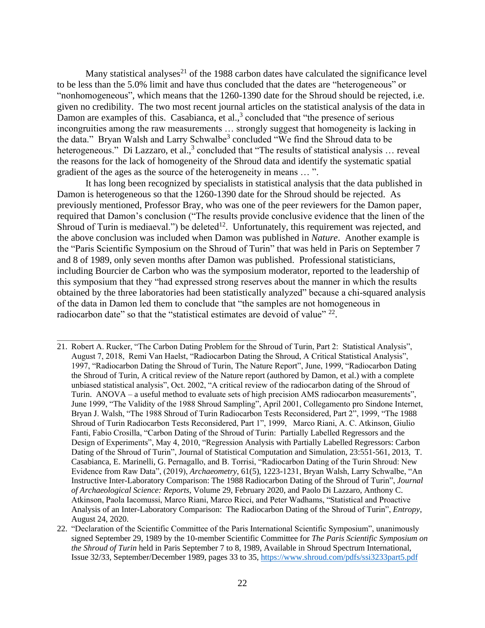Many statistical analyses<sup>21</sup> of the 1988 carbon dates have calculated the significance level to be less than the 5.0% limit and have thus concluded that the dates are "heterogeneous" or "nonhomogeneous", which means that the 1260-1390 date for the Shroud should be rejected, i.e. given no credibility. The two most recent journal articles on the statistical analysis of the data in Damon are examples of this. Casabianca, et al., $3$  concluded that "the presence of serious incongruities among the raw measurements … strongly suggest that homogeneity is lacking in the data." Bryan Walsh and Larry Schwalbe<sup>3</sup> concluded "We find the Shroud data to be heterogeneous." Di Lazzaro, et al., $3$  concluded that "The results of statistical analysis ... reveal the reasons for the lack of homogeneity of the Shroud data and identify the systematic spatial gradient of the ages as the source of the heterogeneity in means … ".

It has long been recognized by specialists in statistical analysis that the data published in Damon is heterogeneous so that the 1260-1390 date for the Shroud should be rejected. As previously mentioned, Professor Bray, who was one of the peer reviewers for the Damon paper, required that Damon's conclusion ("The results provide conclusive evidence that the linen of the Shroud of Turin is mediaeval.") be deleted<sup>12</sup>. Unfortunately, this requirement was rejected, and the above conclusion was included when Damon was published in *Nature*. Another example is the "Paris Scientific Symposium on the Shroud of Turin" that was held in Paris on September 7 and 8 of 1989, only seven months after Damon was published. Professional statisticians, including Bourcier de Carbon who was the symposium moderator, reported to the leadership of this symposium that they "had expressed strong reserves about the manner in which the results obtained by the three laboratories had been statistically analyzed" because a chi-squared analysis of the data in Damon led them to conclude that "the samples are not homogeneous in radiocarbon date" so that the "statistical estimates are devoid of value"  $^{22}$ .

- 21. Robert A. Rucker, "The Carbon Dating Problem for the Shroud of Turin, Part 2: Statistical Analysis", August 7, 2018, Remi Van Haelst, "Radiocarbon Dating the Shroud, A Critical Statistical Analysis", 1997, "Radiocarbon Dating the Shroud of Turin, The Nature Report", June, 1999, "Radiocarbon Dating the Shroud of Turin, A critical review of the Nature report (authored by Damon, et al.) with a complete unbiased statistical analysis", Oct. 2002, "A critical review of the radiocarbon dating of the Shroud of Turin. ANOVA – a useful method to evaluate sets of high precision AMS radiocarbon measurements", June 1999, "The Validity of the 1988 Shroud Sampling", April 2001, Collegamento pro Sindone Internet, Bryan J. Walsh, "The 1988 Shroud of Turin Radiocarbon Tests Reconsidered, Part 2", 1999, "The 1988 Shroud of Turin Radiocarbon Tests Reconsidered, Part 1", 1999, Marco Riani, A. C. Atkinson, Giulio Fanti, Fabio Crosilla, "Carbon Dating of the Shroud of Turin: Partially Labelled Regressors and the Design of Experiments", May 4, 2010, "Regression Analysis with Partially Labelled Regressors: Carbon Dating of the Shroud of Turin", Journal of Statistical Computation and Simulation, 23:551-561, 2013, T. Casabianca, E. Marinelli, G. Pernagallo, and B. Torrisi, "Radiocarbon Dating of the Turin Shroud: New Evidence from Raw Data", (2019), *Archaeometry*, 61(5), 1223-1231, Bryan Walsh, Larry Schwalbe, "An Instructive Inter-Laboratory Comparison: The 1988 Radiocarbon Dating of the Shroud of Turin", *[Journal](https://www.sciencedirect.com/science/journal/2352409X)  [of Archaeological Science: Reports](https://www.sciencedirect.com/science/journal/2352409X)*, [Volume 29,](https://www.sciencedirect.com/science/journal/2352409X/29/supp/C) February 2020, and Paolo Di Lazzaro, Anthony C. Atkinson, Paola Iacomussi, Marco Riani, Marco Ricci, and Peter Wadhams, "Statistical and Proactive Analysis of an Inter-Laboratory Comparison: The Radiocarbon Dating of the Shroud of Turin", *Entropy*, August 24, 2020.
- 22. "Declaration of the Scientific Committee of the Paris International Scientific Symposium", unanimously signed September 29, 1989 by the 10-member Scientific Committee for *The Paris Scientific Symposium on the Shroud of Turin* held in Paris September 7 to 8, 1989, Available in Shroud Spectrum International, Issue 32/33, September/December 1989, pages 33 to 35, https://www.shroud.com/pdfs/ssi3233part5.pdf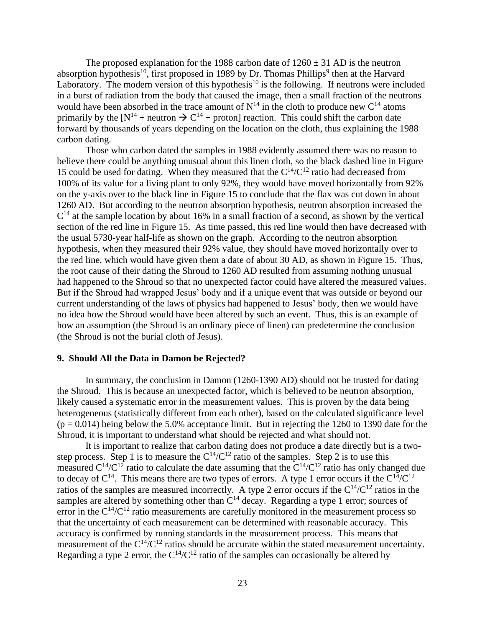The proposed explanation for the 1988 carbon date of  $1260 \pm 31$  AD is the neutron absorption hypothesis<sup>10</sup>, first proposed in 1989 by Dr. Thomas Phillips<sup>9</sup> then at the Harvard Laboratory. The modern version of this hypothesis<sup>10</sup> is the following. If neutrons were included in a burst of radiation from the body that caused the image, then a small fraction of the neutrons would have been absorbed in the trace amount of  $N^{14}$  in the cloth to produce new  $C^{14}$  atoms primarily by the  $[N^{14} +$  neutron  $\rightarrow C^{14} +$  proton] reaction. This could shift the carbon date forward by thousands of years depending on the location on the cloth, thus explaining the 1988 carbon dating.

Those who carbon dated the samples in 1988 evidently assumed there was no reason to believe there could be anything unusual about this linen cloth, so the black dashed line in Figure 15 could be used for dating. When they measured that the  $C^{14}/C^{12}$  ratio had decreased from 100% of its value for a living plant to only 92%, they would have moved horizontally from 92% on the y-axis over to the black line in Figure 15 to conclude that the flax was cut down in about 1260 AD. But according to the neutron absorption hypothesis, neutron absorption increased the  $C<sup>14</sup>$  at the sample location by about 16% in a small fraction of a second, as shown by the vertical section of the red line in Figure 15. As time passed, this red line would then have decreased with the usual 5730-year half-life as shown on the graph. According to the neutron absorption hypothesis, when they measured their 92% value, they should have moved horizontally over to the red line, which would have given them a date of about 30 AD, as shown in Figure 15. Thus, the root cause of their dating the Shroud to 1260 AD resulted from assuming nothing unusual had happened to the Shroud so that no unexpected factor could have altered the measured values. But if the Shroud had wrapped Jesus' body and if a unique event that was outside or beyond our current understanding of the laws of physics had happened to Jesus' body, then we would have no idea how the Shroud would have been altered by such an event. Thus, this is an example of how an assumption (the Shroud is an ordinary piece of linen) can predetermine the conclusion (the Shroud is not the burial cloth of Jesus).

### **9. Should All the Data in Damon be Rejected?**

In summary, the conclusion in Damon (1260-1390 AD) should not be trusted for dating the Shroud. This is because an unexpected factor, which is believed to be neutron absorption, likely caused a systematic error in the measurement values. This is proven by the data being heterogeneous (statistically different from each other), based on the calculated significance level  $(p = 0.014)$  being below the 5.0% acceptance limit. But in rejecting the 1260 to 1390 date for the Shroud, it is important to understand what should be rejected and what should not.

It is important to realize that carbon dating does not produce a date directly but is a twostep process. Step 1 is to measure the  $C^{14}/C^{12}$  ratio of the samples. Step 2 is to use this measured  $C^{14}/C^{12}$  ratio to calculate the date assuming that the  $C^{14}/C^{12}$  ratio has only changed due to decay of  $C^{14}$ . This means there are two types of errors. A type 1 error occurs if the  $C^{14}/C^{12}$ ratios of the samples are measured incorrectly. A type 2 error occurs if the  $C^{14}/C^{12}$  ratios in the samples are altered by something other than  $C^{14}$  decay. Regarding a type 1 error; sources of error in the  $C^{14}/C^{12}$  ratio measurements are carefully monitored in the measurement process so that the uncertainty of each measurement can be determined with reasonable accuracy. This accuracy is confirmed by running standards in the measurement process. This means that measurement of the  $C^{14}/C^{12}$  ratios should be accurate within the stated measurement uncertainty. Regarding a type 2 error, the  $C^{14}/C^{12}$  ratio of the samples can occasionally be altered by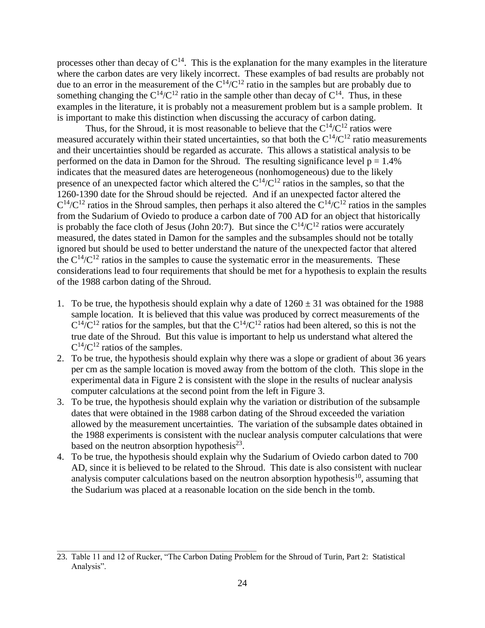processes other than decay of  $C^{14}$ . This is the explanation for the many examples in the literature where the carbon dates are very likely incorrect. These examples of bad results are probably not due to an error in the measurement of the  $C^{14}/C^{12}$  ratio in the samples but are probably due to something changing the  $C^{14}/C^{12}$  ratio in the sample other than decay of  $C^{14}$ . Thus, in these examples in the literature, it is probably not a measurement problem but is a sample problem. It is important to make this distinction when discussing the accuracy of carbon dating.

Thus, for the Shroud, it is most reasonable to believe that the  $C^{14}/C^{12}$  ratios were measured accurately within their stated uncertainties, so that both the  $C^{14}/C^{12}$  ratio measurements and their uncertainties should be regarded as accurate. This allows a statistical analysis to be performed on the data in Damon for the Shroud. The resulting significance level  $p = 1.4\%$ indicates that the measured dates are heterogeneous (nonhomogeneous) due to the likely presence of an unexpected factor which altered the  $C^{14}/C^{12}$  ratios in the samples, so that the 1260-1390 date for the Shroud should be rejected. And if an unexpected factor altered the  $C^{14}/C^{12}$  ratios in the Shroud samples, then perhaps it also altered the  $C^{14}/C^{12}$  ratios in the samples from the Sudarium of Oviedo to produce a carbon date of 700 AD for an object that historically is probably the face cloth of Jesus (John 20:7). But since the  $C^{14}/C^{12}$  ratios were accurately measured, the dates stated in Damon for the samples and the subsamples should not be totally ignored but should be used to better understand the nature of the unexpected factor that altered the  $C^{14}/C^{12}$  ratios in the samples to cause the systematic error in the measurements. These considerations lead to four requirements that should be met for a hypothesis to explain the results of the 1988 carbon dating of the Shroud.

- 1. To be true, the hypothesis should explain why a date of  $1260 \pm 31$  was obtained for the 1988 sample location. It is believed that this value was produced by correct measurements of the  $C^{14}/C^{12}$  ratios for the samples, but that the  $C^{14}/C^{12}$  ratios had been altered, so this is not the true date of the Shroud. But this value is important to help us understand what altered the  $C^{14}/C^{12}$  ratios of the samples.
- 2. To be true, the hypothesis should explain why there was a slope or gradient of about 36 years per cm as the sample location is moved away from the bottom of the cloth. This slope in the experimental data in Figure 2 is consistent with the slope in the results of nuclear analysis computer calculations at the second point from the left in Figure 3.
- 3. To be true, the hypothesis should explain why the variation or distribution of the subsample dates that were obtained in the 1988 carbon dating of the Shroud exceeded the variation allowed by the measurement uncertainties. The variation of the subsample dates obtained in the 1988 experiments is consistent with the nuclear analysis computer calculations that were based on the neutron absorption hypothesis $^{23}$ .
- 4. To be true, the hypothesis should explain why the Sudarium of Oviedo carbon dated to 700 AD, since it is believed to be related to the Shroud. This date is also consistent with nuclear analysis computer calculations based on the neutron absorption hypothesis<sup>10</sup>, assuming that the Sudarium was placed at a reasonable location on the side bench in the tomb.

<sup>23.</sup> Table 11 and 12 of Rucker, "The Carbon Dating Problem for the Shroud of Turin, Part 2: Statistical Analysis".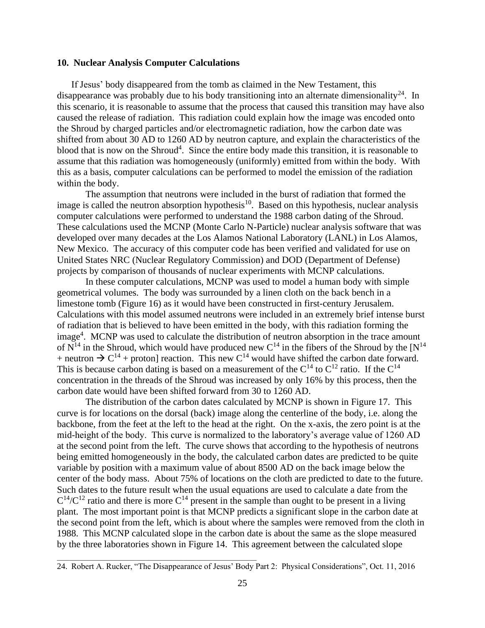### **10. Nuclear Analysis Computer Calculations**

If Jesus' body disappeared from the tomb as claimed in the New Testament, this disappearance was probably due to his body transitioning into an alternate dimensionality<sup>24</sup>. In this scenario, it is reasonable to assume that the process that caused this transition may have also caused the release of radiation. This radiation could explain how the image was encoded onto the Shroud by charged particles and/or electromagnetic radiation, how the carbon date was shifted from about 30 AD to 1260 AD by neutron capture, and explain the characteristics of the blood that is now on the Shroud<sup>4</sup>. Since the entire body made this transition, it is reasonable to assume that this radiation was homogeneously (uniformly) emitted from within the body. With this as a basis, computer calculations can be performed to model the emission of the radiation within the body.

The assumption that neutrons were included in the burst of radiation that formed the image is called the neutron absorption hypothesis<sup>10</sup>. Based on this hypothesis, nuclear analysis computer calculations were performed to understand the 1988 carbon dating of the Shroud. These calculations used the MCNP (Monte Carlo N-Particle) nuclear analysis software that was developed over many decades at the Los Alamos National Laboratory (LANL) in Los Alamos, New Mexico. The accuracy of this computer code has been verified and validated for use on United States NRC (Nuclear Regulatory Commission) and DOD (Department of Defense) projects by comparison of thousands of nuclear experiments with MCNP calculations.

In these computer calculations, MCNP was used to model a human body with simple geometrical volumes. The body was surrounded by a linen cloth on the back bench in a limestone tomb (Figure 16) as it would have been constructed in first-century Jerusalem. Calculations with this model assumed neutrons were included in an extremely brief intense burst of radiation that is believed to have been emitted in the body, with this radiation forming the image<sup>4</sup>. MCNP was used to calculate the distribution of neutron absorption in the trace amount of  $N^{14}$  in the Shroud, which would have produced new C<sup>14</sup> in the fibers of the Shroud by the [N<sup>14</sup> + neutron  $\rightarrow$  C<sup>14</sup> + proton] reaction. This new C<sup>14</sup> would have shifted the carbon date forward. This is because carbon dating is based on a measurement of the  $C^{14}$  to  $C^{12}$  ratio. If the  $C^{14}$ concentration in the threads of the Shroud was increased by only 16% by this process, then the carbon date would have been shifted forward from 30 to 1260 AD.

The distribution of the carbon dates calculated by MCNP is shown in Figure 17. This curve is for locations on the dorsal (back) image along the centerline of the body, i.e. along the backbone, from the feet at the left to the head at the right. On the x-axis, the zero point is at the mid-height of the body. This curve is normalized to the laboratory's average value of 1260 AD at the second point from the left. The curve shows that according to the hypothesis of neutrons being emitted homogeneously in the body, the calculated carbon dates are predicted to be quite variable by position with a maximum value of about 8500 AD on the back image below the center of the body mass. About 75% of locations on the cloth are predicted to date to the future. Such dates to the future result when the usual equations are used to calculate a date from the  $C^{14}/C^{12}$  ratio and there is more  $C^{14}$  present in the sample than ought to be present in a living plant. The most important point is that MCNP predicts a significant slope in the carbon date at the second point from the left, which is about where the samples were removed from the cloth in 1988. This MCNP calculated slope in the carbon date is about the same as the slope measured by the three laboratories shown in Figure 14. This agreement between the calculated slope

<sup>24.</sup> Robert A. Rucker, "The Disappearance of Jesus' Body Part 2: Physical Considerations", Oct. 11, 2016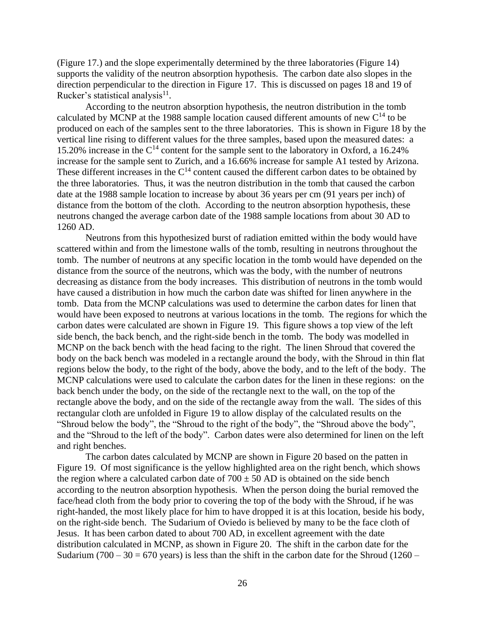(Figure 17.) and the slope experimentally determined by the three laboratories (Figure 14) supports the validity of the neutron absorption hypothesis. The carbon date also slopes in the direction perpendicular to the direction in Figure 17. This is discussed on pages 18 and 19 of Rucker's statistical analysis<sup>11</sup>.

According to the neutron absorption hypothesis, the neutron distribution in the tomb calculated by MCNP at the 1988 sample location caused different amounts of new  $C^{14}$  to be produced on each of the samples sent to the three laboratories. This is shown in Figure 18 by the vertical line rising to different values for the three samples, based upon the measured dates: a 15.20% increase in the  $C^{14}$  content for the sample sent to the laboratory in Oxford, a 16.24% increase for the sample sent to Zurich, and a 16.66% increase for sample A1 tested by Arizona. These different increases in the  $C^{14}$  content caused the different carbon dates to be obtained by the three laboratories. Thus, it was the neutron distribution in the tomb that caused the carbon date at the 1988 sample location to increase by about 36 years per cm (91 years per inch) of distance from the bottom of the cloth. According to the neutron absorption hypothesis, these neutrons changed the average carbon date of the 1988 sample locations from about 30 AD to 1260 AD.

Neutrons from this hypothesized burst of radiation emitted within the body would have scattered within and from the limestone walls of the tomb, resulting in neutrons throughout the tomb. The number of neutrons at any specific location in the tomb would have depended on the distance from the source of the neutrons, which was the body, with the number of neutrons decreasing as distance from the body increases. This distribution of neutrons in the tomb would have caused a distribution in how much the carbon date was shifted for linen anywhere in the tomb. Data from the MCNP calculations was used to determine the carbon dates for linen that would have been exposed to neutrons at various locations in the tomb. The regions for which the carbon dates were calculated are shown in Figure 19. This figure shows a top view of the left side bench, the back bench, and the right-side bench in the tomb. The body was modelled in MCNP on the back bench with the head facing to the right. The linen Shroud that covered the body on the back bench was modeled in a rectangle around the body, with the Shroud in thin flat regions below the body, to the right of the body, above the body, and to the left of the body. The MCNP calculations were used to calculate the carbon dates for the linen in these regions: on the back bench under the body, on the side of the rectangle next to the wall, on the top of the rectangle above the body, and on the side of the rectangle away from the wall. The sides of this rectangular cloth are unfolded in Figure 19 to allow display of the calculated results on the "Shroud below the body", the "Shroud to the right of the body", the "Shroud above the body", and the "Shroud to the left of the body". Carbon dates were also determined for linen on the left and right benches.

The carbon dates calculated by MCNP are shown in Figure 20 based on the patten in Figure 19. Of most significance is the yellow highlighted area on the right bench, which shows the region where a calculated carbon date of  $700 \pm 50$  AD is obtained on the side bench according to the neutron absorption hypothesis. When the person doing the burial removed the face/head cloth from the body prior to covering the top of the body with the Shroud, if he was right-handed, the most likely place for him to have dropped it is at this location, beside his body, on the right-side bench. The Sudarium of Oviedo is believed by many to be the face cloth of Jesus. It has been carbon dated to about 700 AD, in excellent agreement with the date distribution calculated in MCNP, as shown in Figure 20. The shift in the carbon date for the Sudarium (700 – 30 = 670 years) is less than the shift in the carbon date for the Shroud (1260 –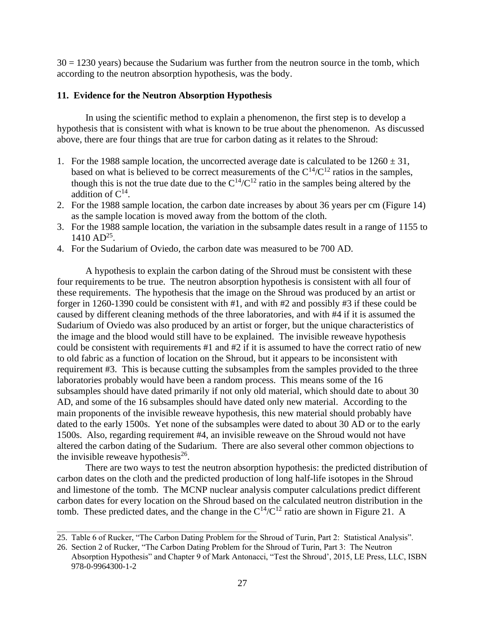$30 = 1230$  years) because the Sudarium was further from the neutron source in the tomb, which according to the neutron absorption hypothesis, was the body.

# **11. Evidence for the Neutron Absorption Hypothesis**

In using the scientific method to explain a phenomenon, the first step is to develop a hypothesis that is consistent with what is known to be true about the phenomenon. As discussed above, there are four things that are true for carbon dating as it relates to the Shroud:

- 1. For the 1988 sample location, the uncorrected average date is calculated to be  $1260 \pm 31$ , based on what is believed to be correct measurements of the  $C^{14}/C^{12}$  ratios in the samples, though this is not the true date due to the  $C^{14}/C^{12}$  ratio in the samples being altered by the addition of  $C^{14}$ .
- 2. For the 1988 sample location, the carbon date increases by about 36 years per cm (Figure 14) as the sample location is moved away from the bottom of the cloth.
- 3. For the 1988 sample location, the variation in the subsample dates result in a range of 1155 to 1410 AD<sup>25</sup>.
- 4. For the Sudarium of Oviedo, the carbon date was measured to be 700 AD.

A hypothesis to explain the carbon dating of the Shroud must be consistent with these four requirements to be true. The neutron absorption hypothesis is consistent with all four of these requirements. The hypothesis that the image on the Shroud was produced by an artist or forger in 1260-1390 could be consistent with #1, and with #2 and possibly #3 if these could be caused by different cleaning methods of the three laboratories, and with #4 if it is assumed the Sudarium of Oviedo was also produced by an artist or forger, but the unique characteristics of the image and the blood would still have to be explained. The invisible reweave hypothesis could be consistent with requirements #1 and #2 if it is assumed to have the correct ratio of new to old fabric as a function of location on the Shroud, but it appears to be inconsistent with requirement #3. This is because cutting the subsamples from the samples provided to the three laboratories probably would have been a random process. This means some of the 16 subsamples should have dated primarily if not only old material, which should date to about 30 AD, and some of the 16 subsamples should have dated only new material. According to the main proponents of the invisible reweave hypothesis, this new material should probably have dated to the early 1500s. Yet none of the subsamples were dated to about 30 AD or to the early 1500s. Also, regarding requirement #4, an invisible reweave on the Shroud would not have altered the carbon dating of the Sudarium. There are also several other common objections to the invisible reweave hypothesis $2^6$ .

There are two ways to test the neutron absorption hypothesis: the predicted distribution of carbon dates on the cloth and the predicted production of long half-life isotopes in the Shroud and limestone of the tomb. The MCNP nuclear analysis computer calculations predict different carbon dates for every location on the Shroud based on the calculated neutron distribution in the tomb. These predicted dates, and the change in the  $C^{14}/C^{12}$  ratio are shown in Figure 21. A

<sup>25.</sup> Table 6 of Rucker, "The Carbon Dating Problem for the Shroud of Turin, Part 2: Statistical Analysis".

<sup>26.</sup> Section 2 of Rucker, "The Carbon Dating Problem for the Shroud of Turin, Part 3: The Neutron Absorption Hypothesis" and Chapter 9 of Mark Antonacci, "Test the Shroud', 2015, LE Press, LLC, ISBN 978-0-9964300-1-2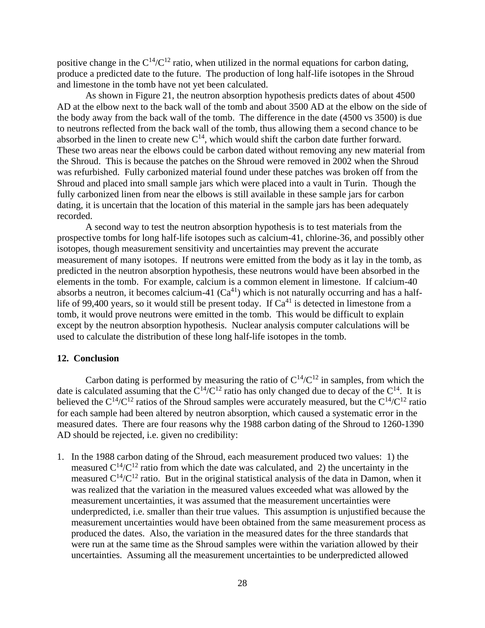positive change in the  $C^{14}/C^{12}$  ratio, when utilized in the normal equations for carbon dating, produce a predicted date to the future. The production of long half-life isotopes in the Shroud and limestone in the tomb have not yet been calculated.

As shown in Figure 21, the neutron absorption hypothesis predicts dates of about 4500 AD at the elbow next to the back wall of the tomb and about 3500 AD at the elbow on the side of the body away from the back wall of the tomb. The difference in the date (4500 vs 3500) is due to neutrons reflected from the back wall of the tomb, thus allowing them a second chance to be absorbed in the linen to create new  $C^{14}$ , which would shift the carbon date further forward. These two areas near the elbows could be carbon dated without removing any new material from the Shroud. This is because the patches on the Shroud were removed in 2002 when the Shroud was refurbished. Fully carbonized material found under these patches was broken off from the Shroud and placed into small sample jars which were placed into a vault in Turin. Though the fully carbonized linen from near the elbows is still available in these sample jars for carbon dating, it is uncertain that the location of this material in the sample jars has been adequately recorded.

A second way to test the neutron absorption hypothesis is to test materials from the prospective tombs for long half-life isotopes such as calcium-41, chlorine-36, and possibly other isotopes, though measurement sensitivity and uncertainties may prevent the accurate measurement of many isotopes. If neutrons were emitted from the body as it lay in the tomb, as predicted in the neutron absorption hypothesis, these neutrons would have been absorbed in the elements in the tomb. For example, calcium is a common element in limestone. If calcium-40 absorbs a neutron, it becomes calcium-41  $(Ca<sup>41</sup>)$  which is not naturally occurring and has a halflife of 99,400 years, so it would still be present today. If  $Ca<sup>41</sup>$  is detected in limestone from a tomb, it would prove neutrons were emitted in the tomb. This would be difficult to explain except by the neutron absorption hypothesis. Nuclear analysis computer calculations will be used to calculate the distribution of these long half-life isotopes in the tomb.

## **12. Conclusion**

Carbon dating is performed by measuring the ratio of  $C^{14}/C^{12}$  in samples, from which the date is calculated assuming that the  $C^{14}/C^{12}$  ratio has only changed due to decay of the  $C^{14}$ . It is believed the  $C^{14}/C^{12}$  ratios of the Shroud samples were accurately measured, but the  $C^{14}/C^{12}$  ratio for each sample had been altered by neutron absorption, which caused a systematic error in the measured dates. There are four reasons why the 1988 carbon dating of the Shroud to 1260-1390 AD should be rejected, i.e. given no credibility:

1. In the 1988 carbon dating of the Shroud, each measurement produced two values: 1) the measured  $C^{14}/C^{12}$  ratio from which the date was calculated, and 2) the uncertainty in the measured  $C^{14}/C^{12}$  ratio. But in the original statistical analysis of the data in Damon, when it was realized that the variation in the measured values exceeded what was allowed by the measurement uncertainties, it was assumed that the measurement uncertainties were underpredicted, i.e. smaller than their true values. This assumption is unjustified because the measurement uncertainties would have been obtained from the same measurement process as produced the dates. Also, the variation in the measured dates for the three standards that were run at the same time as the Shroud samples were within the variation allowed by their uncertainties. Assuming all the measurement uncertainties to be underpredicted allowed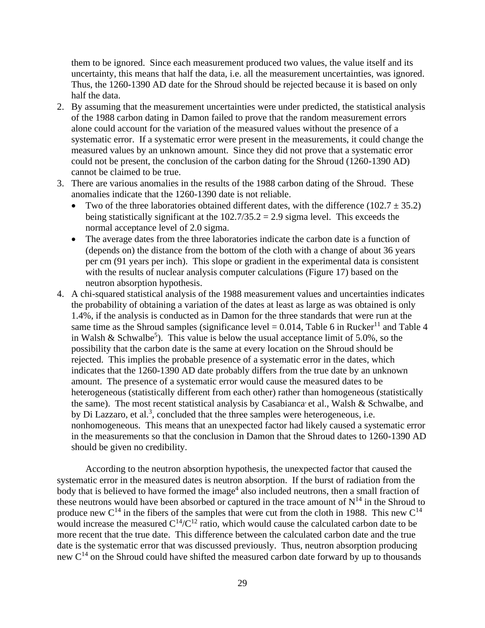them to be ignored. Since each measurement produced two values, the value itself and its uncertainty, this means that half the data, i.e. all the measurement uncertainties, was ignored. Thus, the 1260-1390 AD date for the Shroud should be rejected because it is based on only half the data.

- 2. By assuming that the measurement uncertainties were under predicted, the statistical analysis of the 1988 carbon dating in Damon failed to prove that the random measurement errors alone could account for the variation of the measured values without the presence of a systematic error. If a systematic error were present in the measurements, it could change the measured values by an unknown amount. Since they did not prove that a systematic error could not be present, the conclusion of the carbon dating for the Shroud (1260-1390 AD) cannot be claimed to be true.
- 3. There are various anomalies in the results of the 1988 carbon dating of the Shroud. These anomalies indicate that the 1260-1390 date is not reliable.
	- Two of the three laboratories obtained different dates, with the difference  $(102.7 \pm 35.2)$ being statistically significant at the  $102.7/35.2 = 2.9$  sigma level. This exceeds the normal acceptance level of 2.0 sigma.
	- The average dates from the three laboratories indicate the carbon date is a function of (depends on) the distance from the bottom of the cloth with a change of about 36 years per cm (91 years per inch). This slope or gradient in the experimental data is consistent with the results of nuclear analysis computer calculations (Figure 17) based on the neutron absorption hypothesis.
- 4. A chi-squared statistical analysis of the 1988 measurement values and uncertainties indicates the probability of obtaining a variation of the dates at least as large as was obtained is only 1.4%, if the analysis is conducted as in Damon for the three standards that were run at the same time as the Shroud samples (significance level  $= 0.014$ , Table 6 in Rucker<sup>11</sup> and Table 4 in Walsh & Schwalbe<sup>5</sup>). This value is below the usual acceptance limit of 5.0%, so the possibility that the carbon date is the same at every location on the Shroud should be rejected. This implies the probable presence of a systematic error in the dates, which indicates that the 1260-1390 AD date probably differs from the true date by an unknown amount. The presence of a systematic error would cause the measured dates to be heterogeneous (statistically different from each other) rather than homogeneous (statistically the same). The most recent statistical analysis by Casabianca et al., Walsh  $\&$  Schwalbe, and by Di Lazzaro, et al.<sup>3</sup>, concluded that the three samples were heterogeneous, i.e. nonhomogeneous. This means that an unexpected factor had likely caused a systematic error in the measurements so that the conclusion in Damon that the Shroud dates to 1260-1390 AD should be given no credibility.

According to the neutron absorption hypothesis, the unexpected factor that caused the systematic error in the measured dates is neutron absorption. If the burst of radiation from the body that is believed to have formed the image<sup>4</sup> also included neutrons, then a small fraction of these neutrons would have been absorbed or captured in the trace amount of  $N^{14}$  in the Shroud to produce new  $C^{14}$  in the fibers of the samples that were cut from the cloth in 1988. This new  $C^{14}$ would increase the measured  $C^{14}/C^{12}$  ratio, which would cause the calculated carbon date to be more recent that the true date. This difference between the calculated carbon date and the true date is the systematic error that was discussed previously. Thus, neutron absorption producing new C<sup>14</sup> on the Shroud could have shifted the measured carbon date forward by up to thousands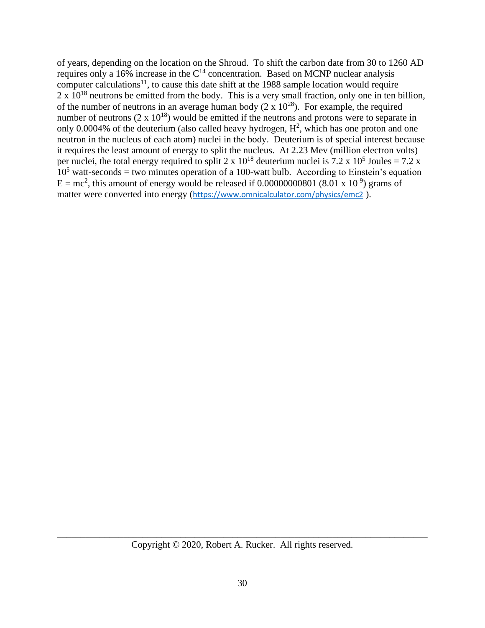of years, depending on the location on the Shroud. To shift the carbon date from 30 to 1260 AD requires only a 16% increase in the  $C<sup>14</sup>$  concentration. Based on MCNP nuclear analysis computer calculations<sup>11</sup>, to cause this date shift at the 1988 sample location would require  $2 \times 10^{18}$  neutrons be emitted from the body. This is a very small fraction, only one in ten billion, of the number of neutrons in an average human body  $(2 \times 10^{28})$ . For example, the required number of neutrons  $(2 \times 10^{18})$  would be emitted if the neutrons and protons were to separate in only 0.0004% of the deuterium (also called heavy hydrogen,  $H^2$ , which has one proton and one neutron in the nucleus of each atom) nuclei in the body. Deuterium is of special interest because it requires the least amount of energy to split the nucleus. At 2.23 Mev (million electron volts) per nuclei, the total energy required to split 2 x  $10^{18}$  deuterium nuclei is 7.2 x  $10^5$  Joules = 7.2 x  $10<sup>5</sup>$  watt-seconds = two minutes operation of a 100-watt bulb. According to Einstein's equation  $E = mc^2$ , this amount of energy would be released if 0.000000000801 (8.01 x 10<sup>-9</sup>) grams of matter were converted into energy (<https://www.omnicalculator.com/physics/emc2> ).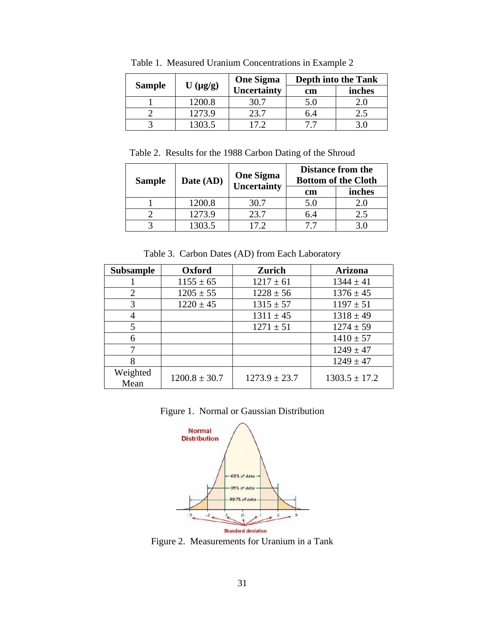|               |              | <b>One Sigma</b> | <b>Depth into the Tank</b> |        |  |  |  |
|---------------|--------------|------------------|----------------------------|--------|--|--|--|
| <b>Sample</b> | $U(\mu g/g)$ | Uncertainty      | cm                         | inches |  |  |  |
|               | 1200.8       | 30.7             | 5.0                        |        |  |  |  |
|               | 1273.9       | 23.7             | n 4                        |        |  |  |  |
|               | 1303.5       |                  |                            |        |  |  |  |

Table 1. Measured Uranium Concentrations in Example 2

Table 2. Results for the 1988 Carbon Dating of the Shroud

| <b>Sample</b> | Date (AD) | <b>One Sigma</b><br>Uncertainty |     | <b>Distance from the</b><br><b>Bottom of the Cloth</b><br>inches<br>2.0<br>2.5 |
|---------------|-----------|---------------------------------|-----|--------------------------------------------------------------------------------|
|               |           |                                 | cm  |                                                                                |
|               | 1200.8    | 30.7                            | 5.0 |                                                                                |
|               | 1273.9    | 23.7                            | 64  |                                                                                |
|               | 1303.5    | 17 2                            |     |                                                                                |

Table 3. Carbon Dates (AD) from Each Laboratory

| <b>Subsample</b> | Oxford            | <b>Zurich</b>     | <b>Arizona</b>    |
|------------------|-------------------|-------------------|-------------------|
|                  | $1155 \pm 65$     | $1217 \pm 61$     | $1344 \pm 41$     |
| 2                | $1205 \pm 55$     | $1228 \pm 56$     | $1376 \pm 45$     |
| 3                | $1220 \pm 45$     | $1315 \pm 57$     | $1197 \pm 51$     |
|                  |                   | $1311 \pm 45$     | $1318 \pm 49$     |
|                  |                   | $1271 \pm 51$     | $1274 \pm 59$     |
| 6                |                   |                   | $1410 \pm 57$     |
|                  |                   |                   | $1249 \pm 47$     |
|                  |                   |                   | $1249 \pm 47$     |
| Weighted<br>Mean | $1200.8 \pm 30.7$ | $1273.9 \pm 23.7$ | $1303.5 \pm 17.2$ |

Figure 1. Normal or Gaussian Distribution



Figure 2. Measurements for Uranium in a Tank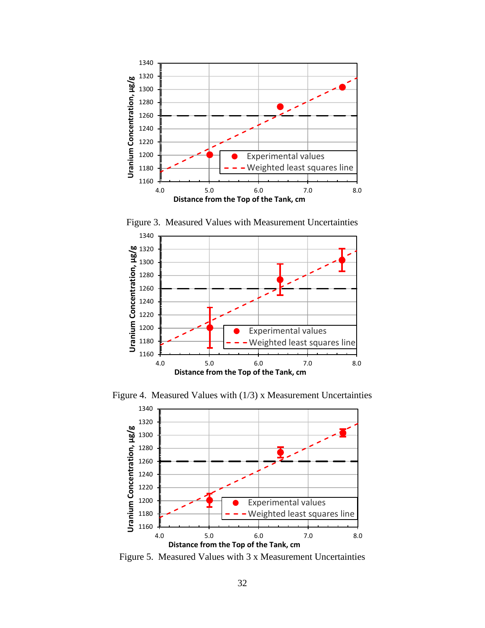

 4.0 5.0 6.0 7.0 8.0 **Uranium Concentration, µg/g Distance from the Top of the Tank, cm** Experimental values Weighted least squares line

Figure 3. Measured Values with Measurement Uncertainties

Figure 4. Measured Values with (1/3) x Measurement Uncertainties



Figure 5. Measured Values with 3 x Measurement Uncertainties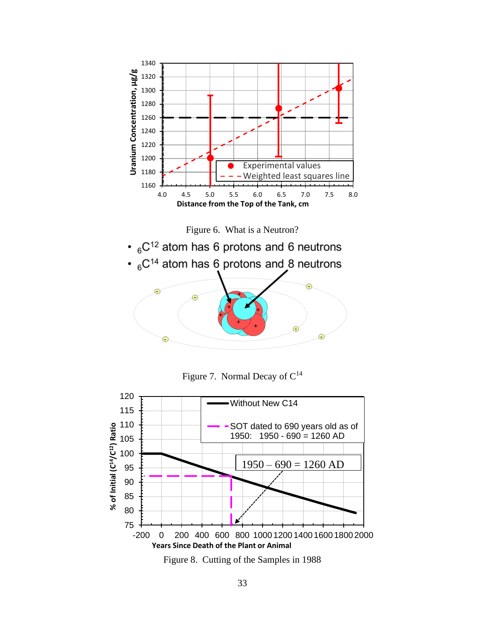

 $\cdot$  <sub>6</sub>C<sup>14</sup> atom has 6 protons and 8 neutrons e C

Figure 7. Normal Decay of  $C^{14}$ 



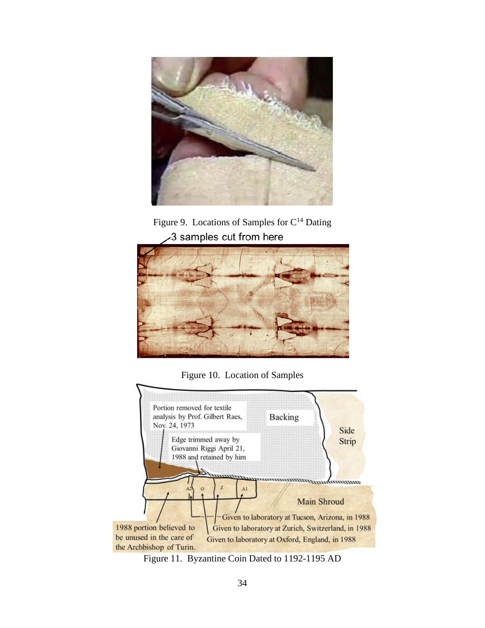

Figure 9. Locations of Samples for  $C^{14}$  Dating 3 samples cut from here



Figure 10. Location of Samples



Figure 11. Byzantine Coin Dated to 1192-1195 AD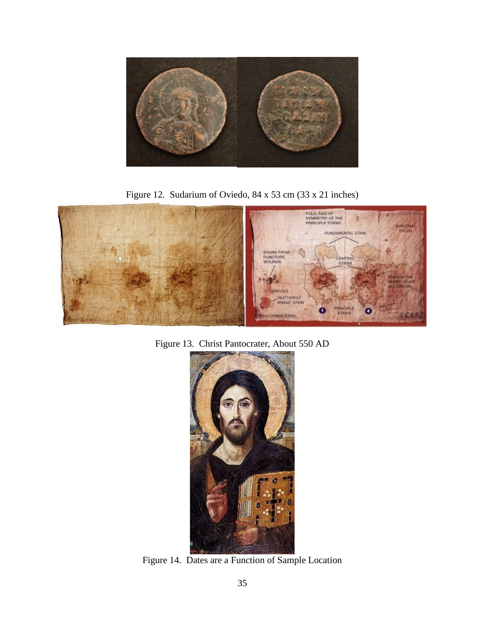

Figure 12. Sudarium of Oviedo, 84 x 53 cm (33 x 21 inches)



Figure 13. Christ Pantocrater, About 550 AD



Figure 14. Dates are a Function of Sample Location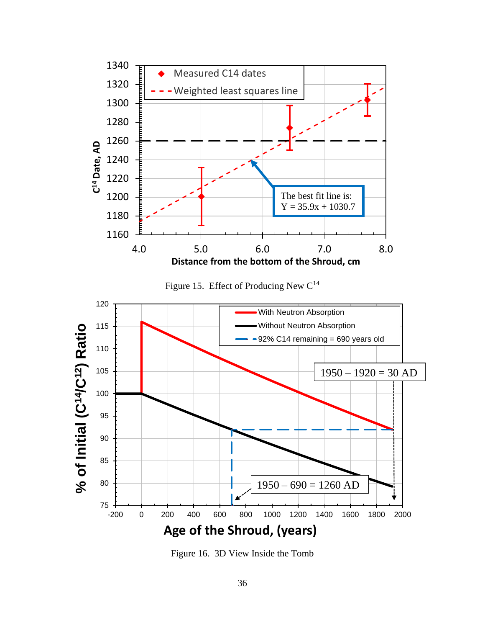

Figure 16. 3D View Inside the Tomb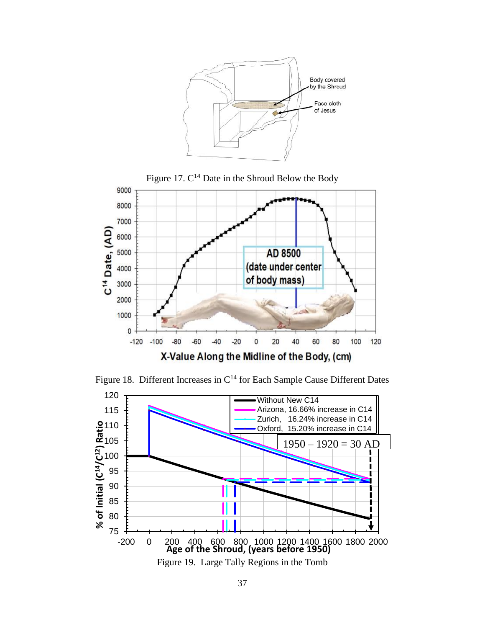